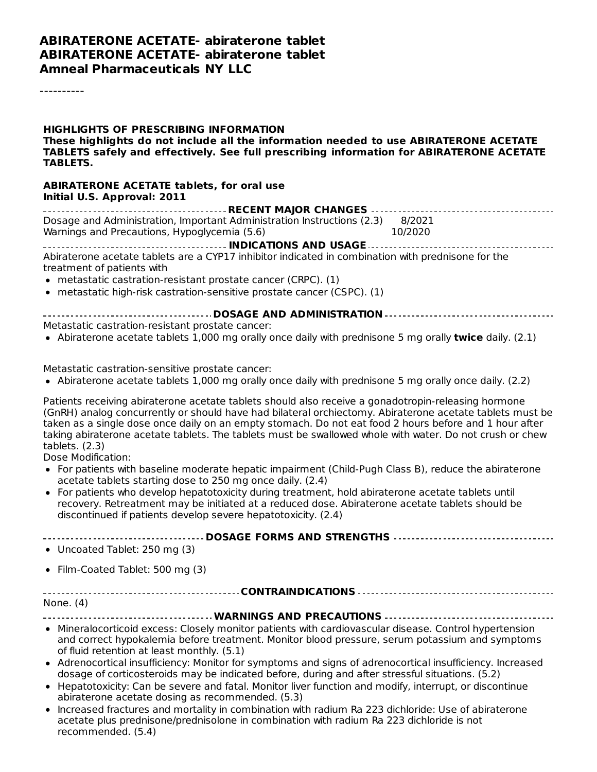#### **ABIRATERONE ACETATE- abiraterone tablet ABIRATERONE ACETATE- abiraterone tablet Amneal Pharmaceuticals NY LLC**

----------

**HIGHLIGHTS OF PRESCRIBING INFORMATION These highlights do not include all the information needed to use ABIRATERONE ACETATE TABLETS safely and effectively. See full prescribing information for ABIRATERONE ACETATE TABLETS.**

#### **ABIRATERONE ACETATE tablets, for oral use Initial U.S. Approval: 2011**

| Dosage and Administration, Important Administration Instructions (2.3) 8/2021 |         |  |  |  |  |
|-------------------------------------------------------------------------------|---------|--|--|--|--|
| Warnings and Precautions, Hypoglycemia (5.6)                                  | 10/2020 |  |  |  |  |

**INDICATIONS AND USAGE** Abiraterone acetate tablets are a CYP17 inhibitor indicated in combination with prednisone for the treatment of patients with

- metastatic castration-resistant prostate cancer (CRPC). (1)
- metastatic high-risk castration-sensitive prostate cancer (CSPC). (1)
- **DOSAGE AND ADMINISTRATION** Metastatic castration-resistant prostate cancer:
- Abiraterone acetate tablets 1,000 mg orally once daily with prednisone 5 mg orally **twice** daily. (2.1)

Metastatic castration-sensitive prostate cancer:

Abiraterone acetate tablets 1,000 mg orally once daily with prednisone 5 mg orally once daily. (2.2)

Patients receiving abiraterone acetate tablets should also receive a gonadotropin-releasing hormone (GnRH) analog concurrently or should have had bilateral orchiectomy. Abiraterone acetate tablets must be taken as a single dose once daily on an empty stomach. Do not eat food 2 hours before and 1 hour after taking abiraterone acetate tablets. The tablets must be swallowed whole with water. Do not crush or chew tablets. (2.3)

Dose Modification:

- For patients with baseline moderate hepatic impairment (Child-Pugh Class B), reduce the abiraterone acetate tablets starting dose to 250 mg once daily. (2.4)
- For patients who develop hepatotoxicity during treatment, hold abiraterone acetate tablets until recovery. Retreatment may be initiated at a reduced dose. Abiraterone acetate tablets should be discontinued if patients develop severe hepatotoxicity. (2.4)

Uncoated Tablet: 250 mg (3)

• Film-Coated Tablet: 500 mg (3)

**CONTRAINDICATIONS**

None. (4)

**WARNINGS AND PRECAUTIONS**

- Mineralocorticoid excess: Closely monitor patients with cardiovascular disease. Control hypertension and correct hypokalemia before treatment. Monitor blood pressure, serum potassium and symptoms of fluid retention at least monthly. (5.1)
- Adrenocortical insufficiency: Monitor for symptoms and signs of adrenocortical insufficiency. Increased dosage of corticosteroids may be indicated before, during and after stressful situations. (5.2)
- Hepatotoxicity: Can be severe and fatal. Monitor liver function and modify, interrupt, or discontinue abiraterone acetate dosing as recommended. (5.3)
- Increased fractures and mortality in combination with radium Ra 223 dichloride: Use of abiraterone acetate plus prednisone/prednisolone in combination with radium Ra 223 dichloride is not recommended. (5.4)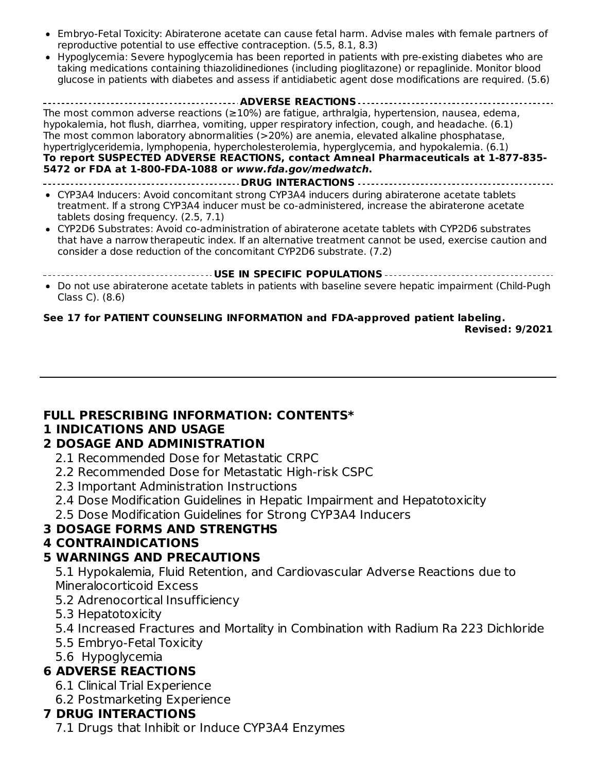- Embryo-Fetal Toxicity: Abiraterone acetate can cause fetal harm. Advise males with female partners of reproductive potential to use effective contraception. (5.5, 8.1, 8.3)
- Hypoglycemia: Severe hypoglycemia has been reported in patients with pre-existing diabetes who are taking medications containing thiazolidinediones (including pioglitazone) or repaglinide. Monitor blood glucose in patients with diabetes and assess if antidiabetic agent dose modifications are required. (5.6)

**ADVERSE REACTIONS** The most common adverse reactions (≥10%) are fatigue, arthralgia, hypertension, nausea, edema, hypokalemia, hot flush, diarrhea, vomiting, upper respiratory infection, cough, and headache. (6.1) The most common laboratory abnormalities (>20%) are anemia, elevated alkaline phosphatase, hypertriglyceridemia, lymphopenia, hypercholesterolemia, hyperglycemia, and hypokalemia. (6.1) **To report SUSPECTED ADVERSE REACTIONS, contact Amneal Pharmaceuticals at 1-877-835- 5472 or FDA at 1-800-FDA-1088 or www.fda.gov/medwatch. DRUG INTERACTIONS** CYP3A4 Inducers: Avoid concomitant strong CYP3A4 inducers during abiraterone acetate tablets treatment. If a strong CYP3A4 inducer must be co-administered, increase the abiraterone acetate tablets dosing frequency. (2.5, 7.1) CYP2D6 Substrates: Avoid co-administration of abiraterone acetate tablets with CYP2D6 substrates

that have a narrow therapeutic index. If an alternative treatment cannot be used, exercise caution and consider a dose reduction of the concomitant CYP2D6 substrate. (7.2)

**USE IN SPECIFIC POPULATIONS**

Do not use abiraterone acetate tablets in patients with baseline severe hepatic impairment (Child-Pugh Class C). (8.6)

# **See 17 for PATIENT COUNSELING INFORMATION and FDA-approved patient labeling.**

**Revised: 9/2021**

# **FULL PRESCRIBING INFORMATION: CONTENTS\***

# **1 INDICATIONS AND USAGE**

#### **2 DOSAGE AND ADMINISTRATION**

- 2.1 Recommended Dose for Metastatic CRPC
- 2.2 Recommended Dose for Metastatic High-risk CSPC
- 2.3 Important Administration Instructions
- 2.4 Dose Modification Guidelines in Hepatic Impairment and Hepatotoxicity

2.5 Dose Modification Guidelines for Strong CYP3A4 Inducers

# **3 DOSAGE FORMS AND STRENGTHS**

# **4 CONTRAINDICATIONS**

# **5 WARNINGS AND PRECAUTIONS**

5.1 Hypokalemia, Fluid Retention, and Cardiovascular Adverse Reactions due to Mineralocorticoid Excess

- 5.2 Adrenocortical Insufficiency
- 5.3 Hepatotoxicity
- 5.4 Increased Fractures and Mortality in Combination with Radium Ra 223 Dichloride
- 5.5 Embryo-Fetal Toxicity
- 5.6 Hypoglycemia

# **6 ADVERSE REACTIONS**

- 6.1 Clinical Trial Experience
- 6.2 Postmarketing Experience

# **7 DRUG INTERACTIONS**

7.1 Drugs that Inhibit or Induce CYP3A4 Enzymes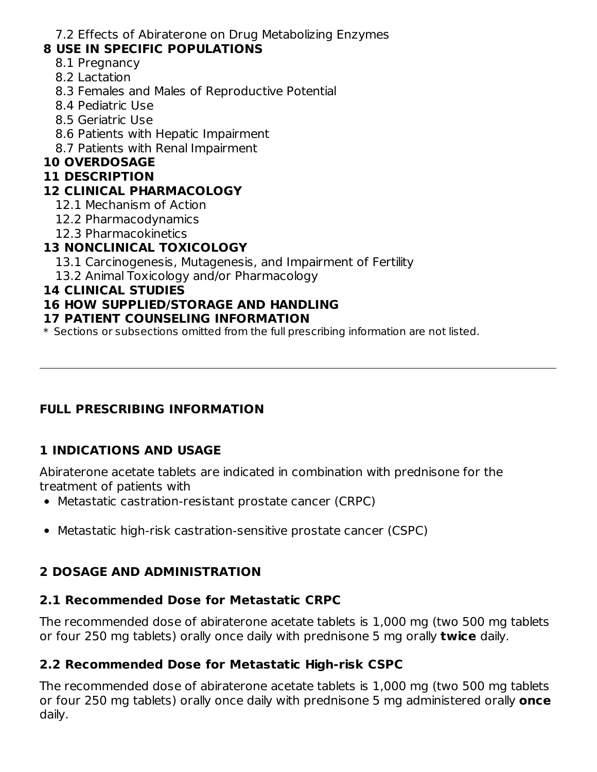7.2 Effects of Abiraterone on Drug Metabolizing Enzymes

# **8 USE IN SPECIFIC POPULATIONS**

- 8.1 Pregnancy
- 8.2 Lactation
- 8.3 Females and Males of Reproductive Potential
- 8.4 Pediatric Use
- 8.5 Geriatric Use
- 8.6 Patients with Hepatic Impairment
- 8.7 Patients with Renal Impairment

# **10 OVERDOSAGE**

#### **11 DESCRIPTION**

# **12 CLINICAL PHARMACOLOGY**

- 12.1 Mechanism of Action
- 12.2 Pharmacodynamics
- 12.3 Pharmacokinetics

# **13 NONCLINICAL TOXICOLOGY**

- 13.1 Carcinogenesis, Mutagenesis, and Impairment of Fertility
- 13.2 Animal Toxicology and/or Pharmacology

## **14 CLINICAL STUDIES**

# **16 HOW SUPPLIED/STORAGE AND HANDLING**

#### **17 PATIENT COUNSELING INFORMATION**

\* Sections or subsections omitted from the full prescribing information are not listed.

# **FULL PRESCRIBING INFORMATION**

# **1 INDICATIONS AND USAGE**

Abiraterone acetate tablets are indicated in combination with prednisone for the treatment of patients with

- Metastatic castration-resistant prostate cancer (CRPC)
- Metastatic high-risk castration-sensitive prostate cancer (CSPC)

# **2 DOSAGE AND ADMINISTRATION**

# **2.1 Recommended Dose for Metastatic CRPC**

The recommended dose of abiraterone acetate tablets is 1,000 mg (two 500 mg tablets or four 250 mg tablets) orally once daily with prednisone 5 mg orally **twice** daily.

# **2.2 Recommended Dose for Metastatic High-risk CSPC**

The recommended dose of abiraterone acetate tablets is 1,000 mg (two 500 mg tablets or four 250 mg tablets) orally once daily with prednisone 5 mg administered orally **once** daily.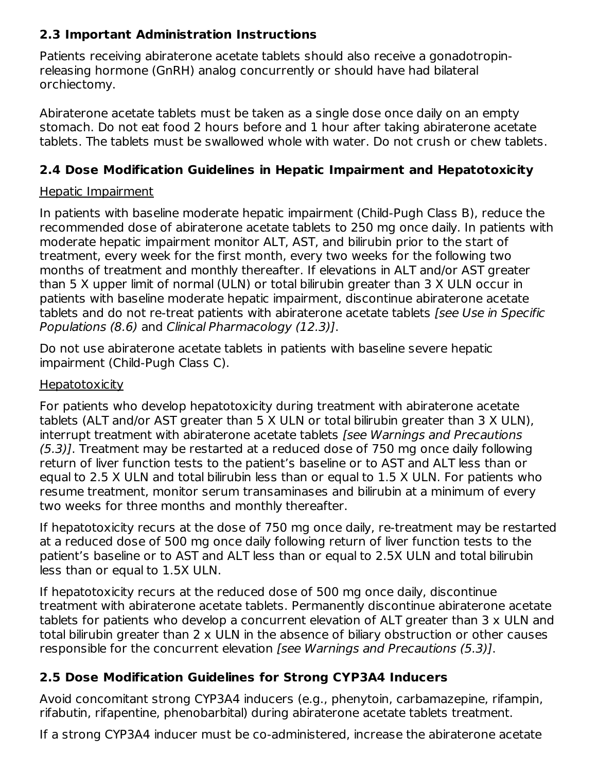# **2.3 Important Administration Instructions**

Patients receiving abiraterone acetate tablets should also receive a gonadotropinreleasing hormone (GnRH) analog concurrently or should have had bilateral orchiectomy.

Abiraterone acetate tablets must be taken as a single dose once daily on an empty stomach. Do not eat food 2 hours before and 1 hour after taking abiraterone acetate tablets. The tablets must be swallowed whole with water. Do not crush or chew tablets.

# **2.4 Dose Modification Guidelines in Hepatic Impairment and Hepatotoxicity**

## Hepatic Impairment

In patients with baseline moderate hepatic impairment (Child-Pugh Class B), reduce the recommended dose of abiraterone acetate tablets to 250 mg once daily. In patients with moderate hepatic impairment monitor ALT, AST, and bilirubin prior to the start of treatment, every week for the first month, every two weeks for the following two months of treatment and monthly thereafter. If elevations in ALT and/or AST greater than 5 X upper limit of normal (ULN) or total bilirubin greater than 3 X ULN occur in patients with baseline moderate hepatic impairment, discontinue abiraterone acetate tablets and do not re-treat patients with abiraterone acetate tablets *[see Use in Specific* Populations (8.6) and Clinical Pharmacology (12.3)].

Do not use abiraterone acetate tablets in patients with baseline severe hepatic impairment (Child-Pugh Class C).

## **Hepatotoxicity**

For patients who develop hepatotoxicity during treatment with abiraterone acetate tablets (ALT and/or AST greater than 5 X ULN or total bilirubin greater than 3 X ULN), interrupt treatment with abiraterone acetate tablets *[see Warnings and Precautions* (5.3)]. Treatment may be restarted at a reduced dose of 750 mg once daily following return of liver function tests to the patient's baseline or to AST and ALT less than or equal to 2.5 X ULN and total bilirubin less than or equal to 1.5 X ULN. For patients who resume treatment, monitor serum transaminases and bilirubin at a minimum of every two weeks for three months and monthly thereafter.

If hepatotoxicity recurs at the dose of 750 mg once daily, re-treatment may be restarted at a reduced dose of 500 mg once daily following return of liver function tests to the patient's baseline or to AST and ALT less than or equal to 2.5X ULN and total bilirubin less than or equal to 1.5X ULN.

If hepatotoxicity recurs at the reduced dose of 500 mg once daily, discontinue treatment with abiraterone acetate tablets. Permanently discontinue abiraterone acetate tablets for patients who develop a concurrent elevation of ALT greater than 3 x ULN and total bilirubin greater than 2 x ULN in the absence of biliary obstruction or other causes responsible for the concurrent elevation [see Warnings and Precautions (5.3)].

# **2.5 Dose Modification Guidelines for Strong CYP3A4 Inducers**

Avoid concomitant strong CYP3A4 inducers (e.g., phenytoin, carbamazepine, rifampin, rifabutin, rifapentine, phenobarbital) during abiraterone acetate tablets treatment.

If a strong CYP3A4 inducer must be co-administered, increase the abiraterone acetate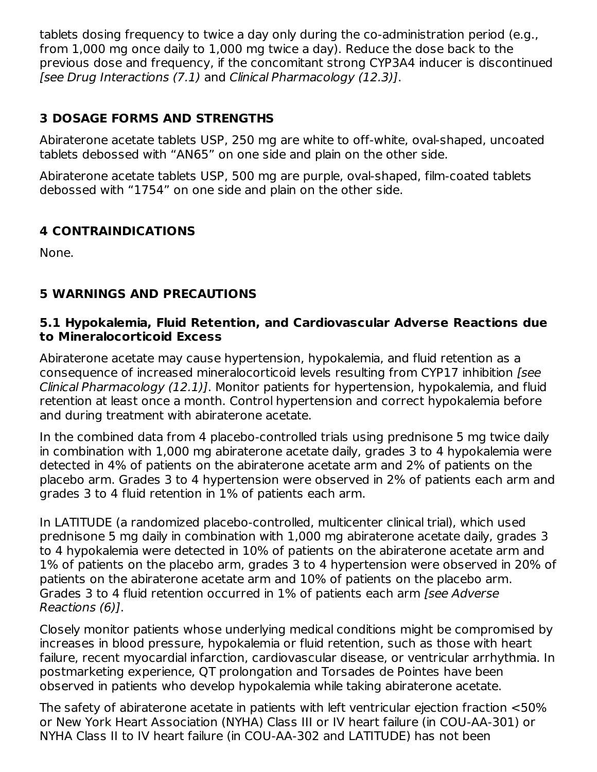tablets dosing frequency to twice a day only during the co-administration period (e.g., from 1,000 mg once daily to 1,000 mg twice a day). Reduce the dose back to the previous dose and frequency, if the concomitant strong CYP3A4 inducer is discontinued [see Drug Interactions (7.1) and Clinical Pharmacology (12.3)].

# **3 DOSAGE FORMS AND STRENGTHS**

Abiraterone acetate tablets USP, 250 mg are white to off-white, oval-shaped, uncoated tablets debossed with "AN65" on one side and plain on the other side.

Abiraterone acetate tablets USP, 500 mg are purple, oval-shaped, film-coated tablets debossed with "1754" on one side and plain on the other side.

# **4 CONTRAINDICATIONS**

None.

# **5 WARNINGS AND PRECAUTIONS**

#### **5.1 Hypokalemia, Fluid Retention, and Cardiovascular Adverse Reactions due to Mineralocorticoid Excess**

Abiraterone acetate may cause hypertension, hypokalemia, and fluid retention as a consequence of increased mineralocorticoid levels resulting from CYP17 inhibition [see Clinical Pharmacology (12.1)]. Monitor patients for hypertension, hypokalemia, and fluid retention at least once a month. Control hypertension and correct hypokalemia before and during treatment with abiraterone acetate.

In the combined data from 4 placebo-controlled trials using prednisone 5 mg twice daily in combination with 1,000 mg abiraterone acetate daily, grades 3 to 4 hypokalemia were detected in 4% of patients on the abiraterone acetate arm and 2% of patients on the placebo arm. Grades 3 to 4 hypertension were observed in 2% of patients each arm and grades 3 to 4 fluid retention in 1% of patients each arm.

In LATITUDE (a randomized placebo-controlled, multicenter clinical trial), which used prednisone 5 mg daily in combination with 1,000 mg abiraterone acetate daily, grades 3 to 4 hypokalemia were detected in 10% of patients on the abiraterone acetate arm and 1% of patients on the placebo arm, grades 3 to 4 hypertension were observed in 20% of patients on the abiraterone acetate arm and 10% of patients on the placebo arm. Grades 3 to 4 fluid retention occurred in 1% of patients each arm [see Adverse Reactions (6)].

Closely monitor patients whose underlying medical conditions might be compromised by increases in blood pressure, hypokalemia or fluid retention, such as those with heart failure, recent myocardial infarction, cardiovascular disease, or ventricular arrhythmia. In postmarketing experience, QT prolongation and Torsades de Pointes have been observed in patients who develop hypokalemia while taking abiraterone acetate.

The safety of abiraterone acetate in patients with left ventricular ejection fraction <50% or New York Heart Association (NYHA) Class III or IV heart failure (in COU-AA-301) or NYHA Class II to IV heart failure (in COU-AA-302 and LATITUDE) has not been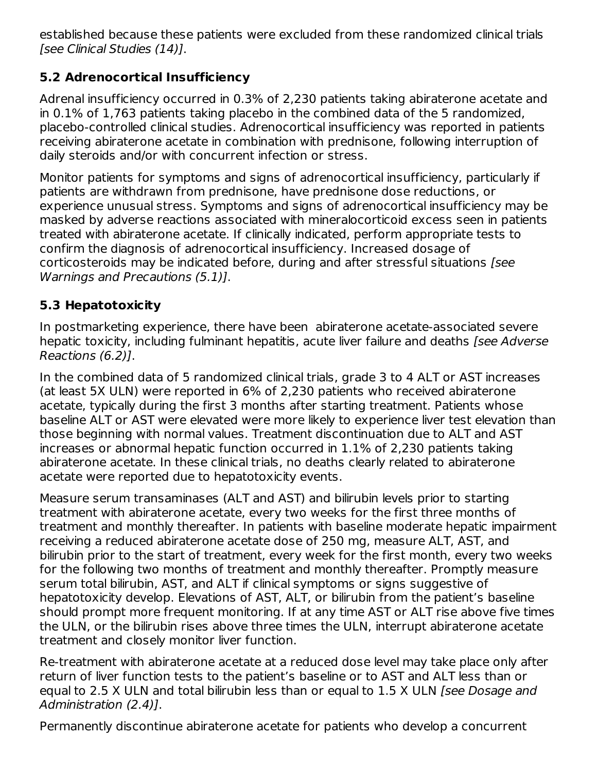established because these patients were excluded from these randomized clinical trials [see Clinical Studies (14)].

# **5.2 Adrenocortical Insufficiency**

Adrenal insufficiency occurred in 0.3% of 2,230 patients taking abiraterone acetate and in 0.1% of 1,763 patients taking placebo in the combined data of the 5 randomized, placebo-controlled clinical studies. Adrenocortical insufficiency was reported in patients receiving abiraterone acetate in combination with prednisone, following interruption of daily steroids and/or with concurrent infection or stress.

Monitor patients for symptoms and signs of adrenocortical insufficiency, particularly if patients are withdrawn from prednisone, have prednisone dose reductions, or experience unusual stress. Symptoms and signs of adrenocortical insufficiency may be masked by adverse reactions associated with mineralocorticoid excess seen in patients treated with abiraterone acetate. If clinically indicated, perform appropriate tests to confirm the diagnosis of adrenocortical insufficiency. Increased dosage of corticosteroids may be indicated before, during and after stressful situations [see Warnings and Precautions (5.1)].

# **5.3 Hepatotoxicity**

In postmarketing experience, there have been abiraterone acetate-associated severe hepatic toxicity, including fulminant hepatitis, acute liver failure and deaths [see Adverse Reactions (6.2)].

In the combined data of 5 randomized clinical trials, grade 3 to 4 ALT or AST increases (at least 5X ULN) were reported in 6% of 2,230 patients who received abiraterone acetate, typically during the first 3 months after starting treatment. Patients whose baseline ALT or AST were elevated were more likely to experience liver test elevation than those beginning with normal values. Treatment discontinuation due to ALT and AST increases or abnormal hepatic function occurred in 1.1% of 2,230 patients taking abiraterone acetate. In these clinical trials, no deaths clearly related to abiraterone acetate were reported due to hepatotoxicity events.

Measure serum transaminases (ALT and AST) and bilirubin levels prior to starting treatment with abiraterone acetate, every two weeks for the first three months of treatment and monthly thereafter. In patients with baseline moderate hepatic impairment receiving a reduced abiraterone acetate dose of 250 mg, measure ALT, AST, and bilirubin prior to the start of treatment, every week for the first month, every two weeks for the following two months of treatment and monthly thereafter. Promptly measure serum total bilirubin, AST, and ALT if clinical symptoms or signs suggestive of hepatotoxicity develop. Elevations of AST, ALT, or bilirubin from the patient's baseline should prompt more frequent monitoring. If at any time AST or ALT rise above five times the ULN, or the bilirubin rises above three times the ULN, interrupt abiraterone acetate treatment and closely monitor liver function.

Re-treatment with abiraterone acetate at a reduced dose level may take place only after return of liver function tests to the patient's baseline or to AST and ALT less than or equal to 2.5 X ULN and total bilirubin less than or equal to 1.5 X ULN [see Dosage and Administration (2.4)].

Permanently discontinue abiraterone acetate for patients who develop a concurrent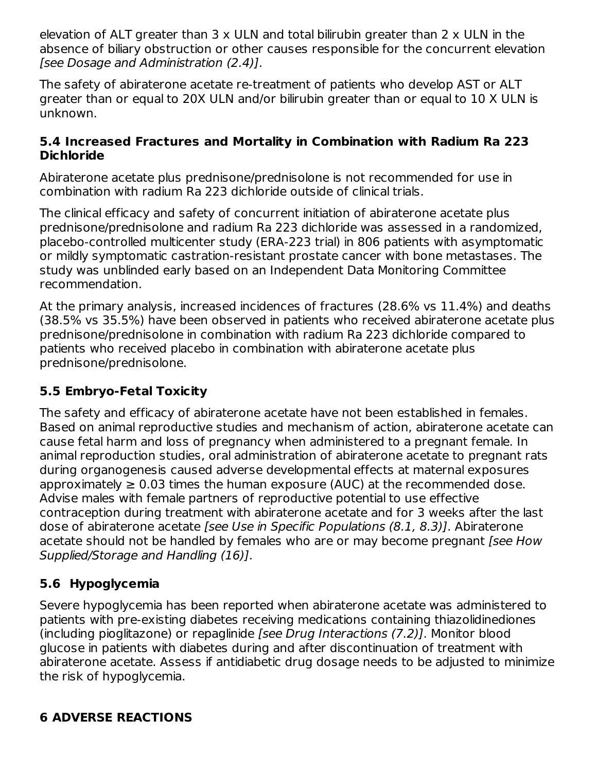elevation of ALT greater than 3 x ULN and total bilirubin greater than 2 x ULN in the absence of biliary obstruction or other causes responsible for the concurrent elevation [see Dosage and Administration (2.4)].

The safety of abiraterone acetate re-treatment of patients who develop AST or ALT greater than or equal to 20X ULN and/or bilirubin greater than or equal to 10 X ULN is unknown.

#### **5.4 Increased Fractures and Mortality in Combination with Radium Ra 223 Dichloride**

Abiraterone acetate plus prednisone/prednisolone is not recommended for use in combination with radium Ra 223 dichloride outside of clinical trials.

The clinical efficacy and safety of concurrent initiation of abiraterone acetate plus prednisone/prednisolone and radium Ra 223 dichloride was assessed in a randomized, placebo-controlled multicenter study (ERA-223 trial) in 806 patients with asymptomatic or mildly symptomatic castration-resistant prostate cancer with bone metastases. The study was unblinded early based on an Independent Data Monitoring Committee recommendation.

At the primary analysis, increased incidences of fractures (28.6% vs 11.4%) and deaths (38.5% vs 35.5%) have been observed in patients who received abiraterone acetate plus prednisone/prednisolone in combination with radium Ra 223 dichloride compared to patients who received placebo in combination with abiraterone acetate plus prednisone/prednisolone.

# **5.5 Embryo-Fetal Toxicity**

The safety and efficacy of abiraterone acetate have not been established in females. Based on animal reproductive studies and mechanism of action, abiraterone acetate can cause fetal harm and loss of pregnancy when administered to a pregnant female. In animal reproduction studies, oral administration of abiraterone acetate to pregnant rats during organogenesis caused adverse developmental effects at maternal exposures approximately  $\geq 0.03$  times the human exposure (AUC) at the recommended dose. Advise males with female partners of reproductive potential to use effective contraception during treatment with abiraterone acetate and for 3 weeks after the last dose of abiraterone acetate [see Use in Specific Populations (8.1, 8.3)]. Abiraterone acetate should not be handled by females who are or may become pregnant (see How Supplied/Storage and Handling (16)].

# **5.6 Hypoglycemia**

Severe hypoglycemia has been reported when abiraterone acetate was administered to patients with pre-existing diabetes receiving medications containing thiazolidinediones (including pioglitazone) or repaglinide [see Drug Interactions (7.2)]. Monitor blood glucose in patients with diabetes during and after discontinuation of treatment with abiraterone acetate. Assess if antidiabetic drug dosage needs to be adjusted to minimize the risk of hypoglycemia.

# **6 ADVERSE REACTIONS**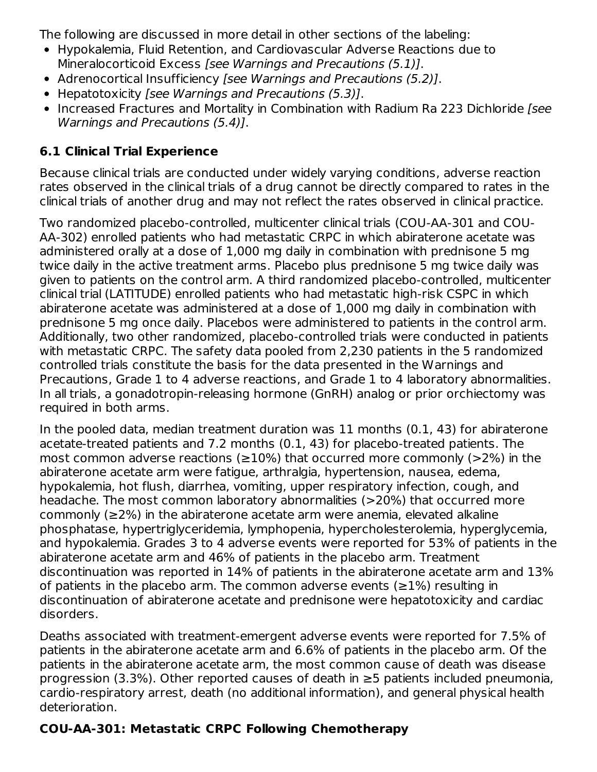The following are discussed in more detail in other sections of the labeling:

- Hypokalemia, Fluid Retention, and Cardiovascular Adverse Reactions due to Mineralocorticoid Excess [see Warnings and Precautions (5.1)].
- Adrenocortical Insufficiency *[see Warnings and Precautions (5.2)]*.
- Hepatotoxicity [see Warnings and Precautions (5.3)].
- Increased Fractures and Mortality in Combination with Radium Ra 223 Dichloride [see Warnings and Precautions (5.4)].

# **6.1 Clinical Trial Experience**

Because clinical trials are conducted under widely varying conditions, adverse reaction rates observed in the clinical trials of a drug cannot be directly compared to rates in the clinical trials of another drug and may not reflect the rates observed in clinical practice.

Two randomized placebo-controlled, multicenter clinical trials (COU-AA-301 and COU-AA-302) enrolled patients who had metastatic CRPC in which abiraterone acetate was administered orally at a dose of 1,000 mg daily in combination with prednisone 5 mg twice daily in the active treatment arms. Placebo plus prednisone 5 mg twice daily was given to patients on the control arm. A third randomized placebo-controlled, multicenter clinical trial (LATITUDE) enrolled patients who had metastatic high-risk CSPC in which abiraterone acetate was administered at a dose of 1,000 mg daily in combination with prednisone 5 mg once daily. Placebos were administered to patients in the control arm. Additionally, two other randomized, placebo-controlled trials were conducted in patients with metastatic CRPC. The safety data pooled from 2,230 patients in the 5 randomized controlled trials constitute the basis for the data presented in the Warnings and Precautions, Grade 1 to 4 adverse reactions, and Grade 1 to 4 laboratory abnormalities. In all trials, a gonadotropin-releasing hormone (GnRH) analog or prior orchiectomy was required in both arms.

In the pooled data, median treatment duration was 11 months (0.1, 43) for abiraterone acetate-treated patients and 7.2 months (0.1, 43) for placebo-treated patients. The most common adverse reactions ( $\geq$ 10%) that occurred more commonly ( $>$ 2%) in the abiraterone acetate arm were fatigue, arthralgia, hypertension, nausea, edema, hypokalemia, hot flush, diarrhea, vomiting, upper respiratory infection, cough, and headache. The most common laboratory abnormalities (>20%) that occurred more commonly (≥2%) in the abiraterone acetate arm were anemia, elevated alkaline phosphatase, hypertriglyceridemia, lymphopenia, hypercholesterolemia, hyperglycemia, and hypokalemia. Grades 3 to 4 adverse events were reported for 53% of patients in the abiraterone acetate arm and 46% of patients in the placebo arm. Treatment discontinuation was reported in 14% of patients in the abiraterone acetate arm and 13% of patients in the placebo arm. The common adverse events ( $\geq$ 1%) resulting in discontinuation of abiraterone acetate and prednisone were hepatotoxicity and cardiac disorders.

Deaths associated with treatment-emergent adverse events were reported for 7.5% of patients in the abiraterone acetate arm and 6.6% of patients in the placebo arm. Of the patients in the abiraterone acetate arm, the most common cause of death was disease progression (3.3%). Other reported causes of death in ≥5 patients included pneumonia, cardio-respiratory arrest, death (no additional information), and general physical health deterioration.

# **COU-AA-301: Metastatic CRPC Following Chemotherapy**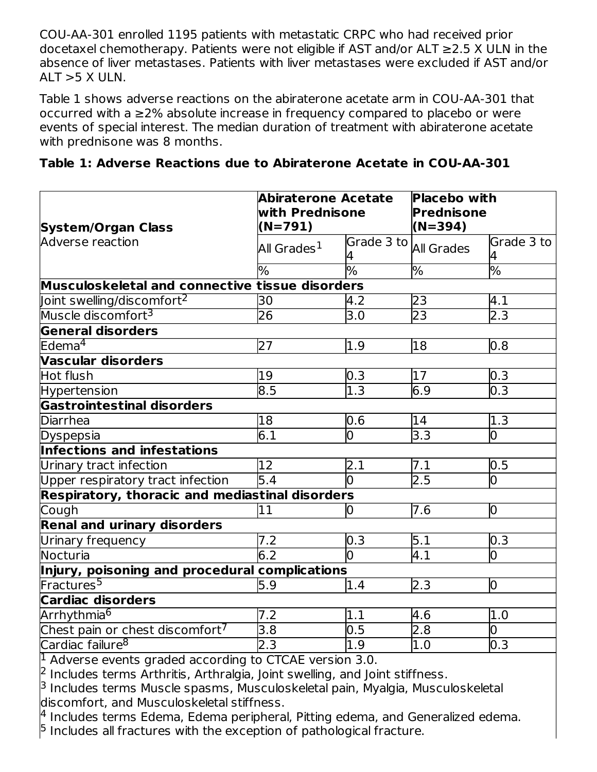COU-AA-301 enrolled 1195 patients with metastatic CRPC who had received prior docetaxel chemotherapy. Patients were not eligible if AST and/or ALT ≥2.5 X ULN in the absence of liver metastases. Patients with liver metastases were excluded if AST and/or ALT  $>$  5 X ULN.

Table 1 shows adverse reactions on the abiraterone acetate arm in COU-AA-301 that occurred with a ≥2% absolute increase in frequency compared to placebo or were events of special interest. The median duration of treatment with abiraterone acetate with prednisone was 8 months.

| <b>System/Organ Class</b>                       | <b>Abiraterone Acetate</b><br>with Prednisone<br>$(N=791)$ |                  | <b>Placebo with</b><br><b>Prednisone</b><br>$(N=394)$ |                  |
|-------------------------------------------------|------------------------------------------------------------|------------------|-------------------------------------------------------|------------------|
| Adverse reaction                                | All Grades $^1$                                            | Grade 3 to       | <b>All Grades</b>                                     | Grade 3 to<br>4  |
|                                                 | %                                                          | %                | %                                                     | $\frac{0}{6}$    |
| Musculoskeletal and connective tissue disorders |                                                            |                  |                                                       |                  |
| Joint swelling/discomfort $^2$                  | 30                                                         | 4.2              | 23                                                    | 4.1              |
| Muscle discomfort <sup>3</sup>                  | 26                                                         | 3.0              | 23                                                    | $2.\overline{3}$ |
| General disorders                               |                                                            |                  |                                                       |                  |
| Edema $4$                                       | 27                                                         | 1.9              | 18                                                    | 0.8              |
| <b>Vascular disorders</b>                       |                                                            |                  |                                                       |                  |
| Hot flush                                       | 19                                                         | 0.3              | 17                                                    | 0.3              |
| <b>Hypertension</b>                             | $\overline{8.5}$                                           | $\overline{1.3}$ | 6.9                                                   | $\overline{0.3}$ |
| <b>Gastrointestinal disorders</b>               |                                                            |                  |                                                       |                  |
| Diarrhea                                        | 18                                                         | 0.6              | 14                                                    | 1.3              |
| Dyspepsia                                       | 6.1                                                        | $\overline{0}$   | 3.3                                                   | $\overline{0}$   |
| Infections and infestations                     |                                                            |                  |                                                       |                  |
| Urinary tract infection                         | 12                                                         | 2.1              | 7.1                                                   | 0.5              |
| Upper respiratory tract infection               | 5.4                                                        |                  | 2.5                                                   | $\overline{0}$   |
| Respiratory, thoracic and mediastinal disorders |                                                            |                  |                                                       |                  |
| Cough                                           | 11                                                         | 10               | 7.6                                                   | $\overline{0}$   |
| <b>Renal and urinary disorders</b>              |                                                            |                  |                                                       |                  |
| Urinary frequency                               | $\overline{7.2}$                                           | 0.3              | 5.1                                                   | 0.3              |
| Nocturia                                        | 6.2                                                        |                  | $\overline{4.1}$                                      | $\overline{0}$   |
| Injury, poisoning and procedural complications  |                                                            |                  |                                                       |                  |
| Fractures <sup>5</sup>                          | 5.9                                                        | 1.4              | 2.3                                                   | $\overline{0}$   |
| <b>Cardiac disorders</b>                        |                                                            |                  |                                                       |                  |
| Arrhythmia <sup>6</sup>                         | 7.2                                                        | 1.1              | 4.6                                                   | 1.0              |
| Chest pain or chest discomfort <sup>7</sup>     | 3.8                                                        | 0.5              | 2.8                                                   | 0                |
| Cardiac failure <sup>8</sup>                    | 2.3                                                        | 1.9              | 1.0                                                   | 0.3              |

 $1$  Adverse events graded according to CTCAE version 3.0.

 $2$  Includes terms Arthritis, Arthralgia, Joint swelling, and Joint stiffness.

<sup>3</sup> Includes terms Muscle spasms, Musculoskeletal pain, Myalgia, Musculoskeletal discomfort, and Musculoskeletal stiffness.

 $^4$  Includes terms Edema, Edema peripheral, Pitting edema, and Generalized edema.  $5$  Includes all fractures with the exception of pathological fracture.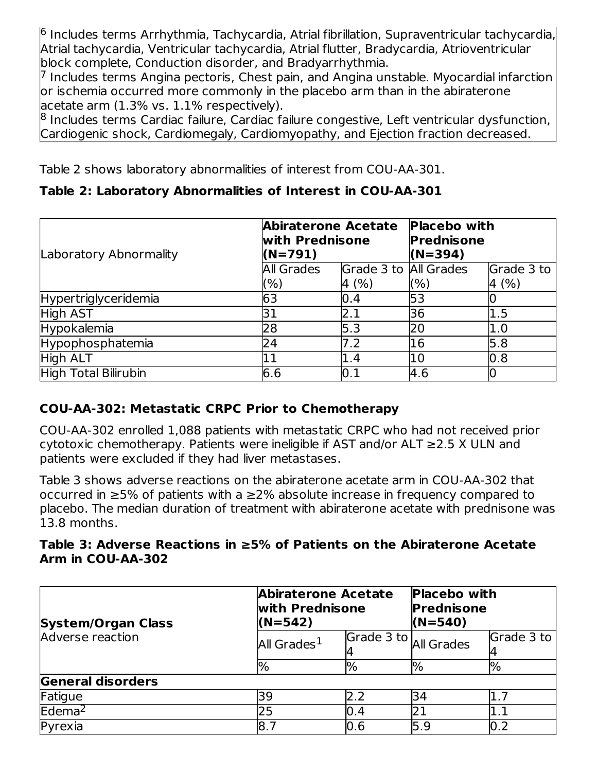$^{\rm 6}$  Includes terms Arrhythmia, Tachycardia, Atrial fibrillation, Supraventricular tachycardia, Atrial tachycardia, Ventricular tachycardia, Atrial flutter, Bradycardia, Atrioventricular block complete, Conduction disorder, and Bradyarrhythmia.

 $7$  Includes terms Angina pectoris, Chest pain, and Angina unstable. Myocardial infarction lor ischemia occurred more commonly in the placebo arm than in the abiraterone acetate arm (1.3% vs. 1.1% respectively).

 $^8$  Includes terms Cardiac failure, Cardiac failure congestive, Left ventricular dysfunction, Cardiogenic shock, Cardiomegaly, Cardiomyopathy, and Ejection fraction decreased.

Table 2 shows laboratory abnormalities of interest from COU-AA-301.

# **Table 2: Laboratory Abnormalities of Interest in COU-AA-301**

| Laboratory Abnormality | <b>Abiraterone Acetate</b><br>with Prednisone<br>$(N=791)$ |                       | <b>Placebo with</b><br><b>Prednisone</b><br>$(N=394)$ |            |
|------------------------|------------------------------------------------------------|-----------------------|-------------------------------------------------------|------------|
|                        | <b>All Grades</b>                                          | Grade 3 to All Grades |                                                       | Grade 3 to |
|                        | (%)                                                        | 4 (%)                 | (%)                                                   | 4(%)       |
| Hypertriglyceridemia   | 63                                                         | 0.4                   | 53                                                    |            |
| <b>High AST</b>        | 31                                                         | 2.1                   | 36                                                    | 1.5        |
| Hypokalemia            | 28                                                         | 5.3                   | 20                                                    | 1.0        |
| Hypophosphatemia       | 24                                                         | 7.2                   | <b>16</b>                                             | 5.8        |
| <b>High ALT</b>        |                                                            | 1.4                   | l10                                                   | 0.8        |
| High Total Bilirubin   | 6.6                                                        | 0.1                   | 4.6                                                   |            |

# **COU-AA-302: Metastatic CRPC Prior to Chemotherapy**

COU-AA-302 enrolled 1,088 patients with metastatic CRPC who had not received prior cytotoxic chemotherapy. Patients were ineligible if AST and/or ALT ≥2.5 X ULN and patients were excluded if they had liver metastases.

Table 3 shows adverse reactions on the abiraterone acetate arm in COU-AA-302 that occurred in ≥5% of patients with a ≥2% absolute increase in frequency compared to placebo. The median duration of treatment with abiraterone acetate with prednisone was 13.8 months.

## **Table 3: Adverse Reactions in ≥5% of Patients on the Abiraterone Acetate Arm in COU-AA-302**

| <b>System/Organ Class</b> | <b>Abiraterone Acetate</b><br>with Prednisone<br>$(N=542)$ |                       | <b>Placebo with</b><br><b>Prednisone</b><br>$(N=540)$ |            |
|---------------------------|------------------------------------------------------------|-----------------------|-------------------------------------------------------|------------|
| Adverse reaction          | All Grades <sup>1</sup>                                    | Grade 3 to All Grades |                                                       | Grade 3 to |
|                           | $\frac{10}{6}$                                             | $\frac{10}{6}$        | %                                                     | %          |
| <b>General disorders</b>  |                                                            |                       |                                                       |            |
| Fatigue                   | 39                                                         | 2.2                   | 34                                                    | 1.7        |
| Edema <sup>2</sup>        | 25                                                         | 0.4                   |                                                       |            |
| Pyrexia                   | 18.7                                                       | 0.6                   | 5.9                                                   | 0.2        |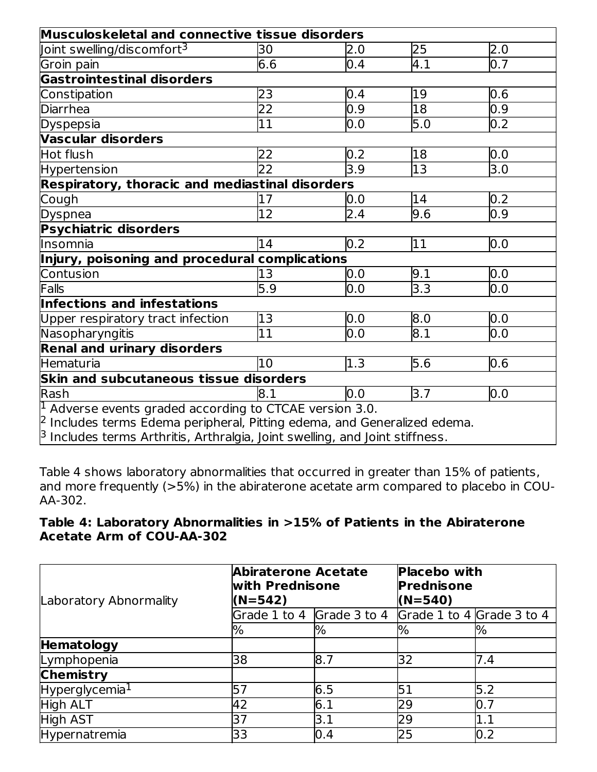| Musculoskeletal and connective tissue disorders                                    |                 |                  |     |                  |
|------------------------------------------------------------------------------------|-----------------|------------------|-----|------------------|
| Joint swelling/discomfort <sup>3</sup>                                             | 30              | 2.0              | 25  | 2.0              |
| Groin pain                                                                         | 6.6             | 0.4              | 4.1 | 0.7              |
| <b>Gastrointestinal disorders</b>                                                  |                 |                  |     |                  |
| Constipation                                                                       | 23              | 0.4              | 19  | 0.6              |
| Diarrhea                                                                           | $\overline{22}$ | 0.9              | 18  | $\overline{0.9}$ |
| <b>Dyspepsia</b>                                                                   | 11              | 0.0              | 5.0 | 0.2              |
| <b>Vascular disorders</b>                                                          |                 |                  |     |                  |
| Hot flush                                                                          | 22              | 0.2              | 18  | 0.0              |
| Hypertension                                                                       | 22              | $\overline{3.9}$ | 13  | 3.0              |
| <b>Respiratory, thoracic and mediastinal disorders</b>                             |                 |                  |     |                  |
| Cough                                                                              | 17              | 0.0              | 14  | 0.2              |
| Dyspnea                                                                            | $\overline{12}$ | 2.4              | 9.6 | $\overline{0.9}$ |
| <b>Psychiatric disorders</b>                                                       |                 |                  |     |                  |
| lInsomnia                                                                          | 14              | 0.2              | 11  | 0.0              |
| Injury, poisoning and procedural complications                                     |                 |                  |     |                  |
| Contusion                                                                          | 13              | 0.0              | 9.1 | 0.0              |
| Falls                                                                              | 5.9             | 0.0              | 3.3 | 0.0              |
| Infections and infestations                                                        |                 |                  |     |                  |
| Upper respiratory tract infection                                                  | 13              | 0.0              | 8.0 | 0.0              |
| Nasopharyngitis                                                                    | $\overline{11}$ | 0.0              | 8.1 | 0.0              |
| <b>Renal and urinary disorders</b>                                                 |                 |                  |     |                  |
| Hematuria                                                                          | 10              | 1.3              | 5.6 | 0.6              |
| Skin and subcutaneous tissue disorders                                             |                 |                  |     |                  |
| Rash                                                                               | 8.1             | 0.0              | 3.7 | 0.0              |
| $\vert$ <sup>1</sup> Adverse events graded according to CTCAE version 3.0.         |                 |                  |     |                  |
| $\beta$ Includes terms Edema peripheral, Pitting edema, and Generalized edema.     |                 |                  |     |                  |
| $\beta$ Includes terms Arthritis, Arthralgia, Joint swelling, and Joint stiffness. |                 |                  |     |                  |

Table 4 shows laboratory abnormalities that occurred in greater than 15% of patients, and more frequently (>5%) in the abiraterone acetate arm compared to placebo in COU-AA-302.

## **Table 4: Laboratory Abnormalities in >15% of Patients in the Abiraterone Acetate Arm of COU-AA-302**

| Laboratory Abnormality     | <b>Abiraterone Acetate</b><br>with Prednisone<br>$(N=542)$ |                           | <b>Placebo with</b><br><b>Prednisone</b><br>$(N=540)$ |         |
|----------------------------|------------------------------------------------------------|---------------------------|-------------------------------------------------------|---------|
|                            |                                                            | Grade 1 to 4 Grade 3 to 4 | Grade 1 to 4 Grade 3 to 4                             |         |
|                            | %                                                          | %                         | $\%$                                                  | %       |
| Hematology                 |                                                            |                           |                                                       |         |
| Lymphopenia                | 38                                                         | 8.7                       | 32                                                    | 7.4     |
| <b>Chemistry</b>           |                                                            |                           |                                                       |         |
| Hyperglycemia <sup>1</sup> | 5                                                          | 6.5                       | 51                                                    | 5.2     |
| High ALT                   | 42                                                         | 6.1                       | 29                                                    | 0.7     |
| High AST                   | 37                                                         | 3.1                       | 29                                                    | $1.1\,$ |
| Hypernatremia              | 33                                                         | 0.4                       | 25                                                    | 0.2     |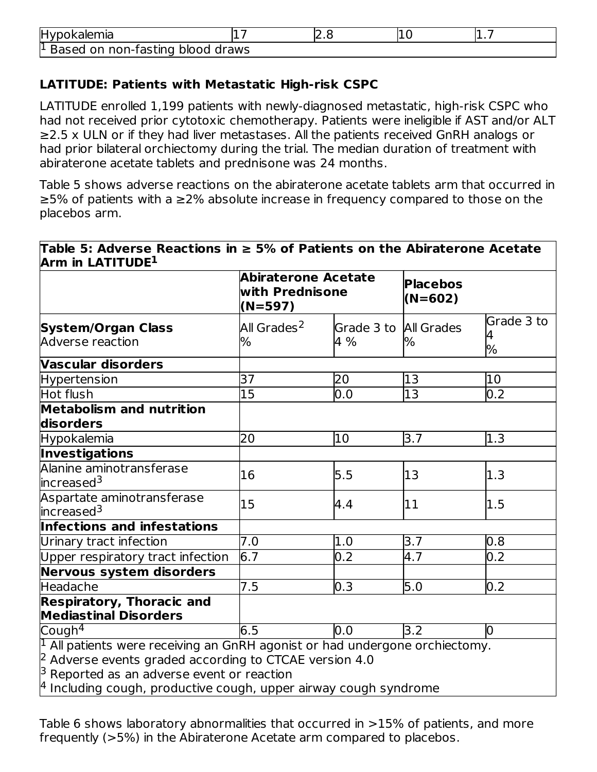| <b>Hypokalemia</b>                            |  |  |  |  |
|-----------------------------------------------|--|--|--|--|
| <sup>1</sup> Based on non-fasting blood draws |  |  |  |  |

# **LATITUDE: Patients with Metastatic High-risk CSPC**

LATITUDE enrolled 1,199 patients with newly-diagnosed metastatic, high-risk CSPC who had not received prior cytotoxic chemotherapy. Patients were ineligible if AST and/or ALT ≥2.5 x ULN or if they had liver metastases. All the patients received GnRH analogs or had prior bilateral orchiectomy during the trial. The median duration of treatment with abiraterone acetate tablets and prednisone was 24 months.

Table 5 shows adverse reactions on the abiraterone acetate tablets arm that occurred in ≥5% of patients with a ≥2% absolute increase in frequency compared to those on the placebos arm.

|                                                                                                                                                                                                                                                                                     | <b>Abiraterone Acetate</b><br>with Prednisone<br>$(N=597)$ |                              | <b>Placebos</b><br>$(N=602)$ |                      |
|-------------------------------------------------------------------------------------------------------------------------------------------------------------------------------------------------------------------------------------------------------------------------------------|------------------------------------------------------------|------------------------------|------------------------------|----------------------|
| <b>System/Organ Class</b><br><b>Adverse reaction</b>                                                                                                                                                                                                                                | All Grades <sup>2</sup><br>%                               | Grade 3 to All Grades<br>4 % | %                            | Grade 3 to<br>4<br>% |
| Vascular disorders                                                                                                                                                                                                                                                                  |                                                            |                              |                              |                      |
| <b>Hypertension</b>                                                                                                                                                                                                                                                                 | 37                                                         | 20                           | 13                           | 10                   |
| Hot flush                                                                                                                                                                                                                                                                           | 15                                                         | 0.0                          | 13                           | 0.2                  |
| Metabolism and nutrition<br>disorders                                                                                                                                                                                                                                               |                                                            |                              |                              |                      |
| <b>Hypokalemia</b>                                                                                                                                                                                                                                                                  | 20                                                         | 10                           | 3.7                          | 1.3                  |
| <b>Investigations</b>                                                                                                                                                                                                                                                               |                                                            |                              |                              |                      |
| Alanine aminotransferase<br>increased <sup>3</sup>                                                                                                                                                                                                                                  | 16                                                         | 5.5                          | 13                           | 1.3                  |
| Aspartate aminotransferase<br>increased <sup>3</sup>                                                                                                                                                                                                                                | 15                                                         | 4.4                          | 11                           | 1.5                  |
| Infections and infestations                                                                                                                                                                                                                                                         |                                                            |                              |                              |                      |
| Urinary tract infection                                                                                                                                                                                                                                                             | 7.0                                                        | 1.0                          | 3.7                          | 0.8                  |
| Upper respiratory tract infection                                                                                                                                                                                                                                                   | 6.7                                                        | 0.2                          | 4.7                          | 0.2                  |
| Nervous system disorders                                                                                                                                                                                                                                                            |                                                            |                              |                              |                      |
| Headache                                                                                                                                                                                                                                                                            | 7.5                                                        | 0.3                          | 5.0                          | 0.2                  |
| <b>Respiratory, Thoracic and</b><br><b>Mediastinal Disorders</b>                                                                                                                                                                                                                    |                                                            |                              |                              |                      |
| Cough <sup>4</sup>                                                                                                                                                                                                                                                                  | 6.5                                                        | 0.0                          | 3.2                          | Ю                    |
| <sup>1</sup> All patients were receiving an GnRH agonist or had undergone orchiectomy.<br>$\beta$ Adverse events graded according to CTCAE version 4.0<br>$\beta$ Reported as an adverse event or reaction<br>$^\mu$ Including cough, productive cough, upper airway cough syndrome |                                                            |                              |                              |                      |

Table 6 shows laboratory abnormalities that occurred in >15% of patients, and more frequently (>5%) in the Abiraterone Acetate arm compared to placebos.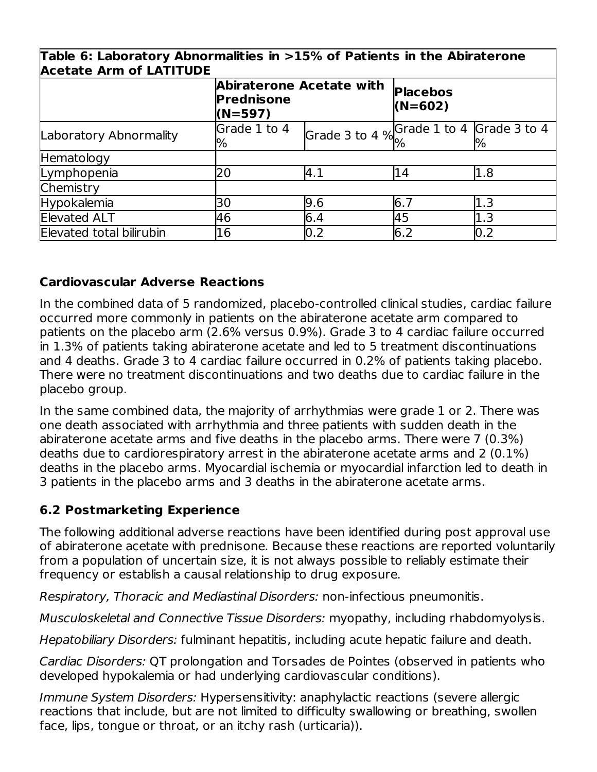| lique of caporatory Apriormantes in 215% or Patients in the Apiraterone<br><b>Acetate Arm of LATITUDE</b> |                                                            |                                          |                              |     |  |
|-----------------------------------------------------------------------------------------------------------|------------------------------------------------------------|------------------------------------------|------------------------------|-----|--|
|                                                                                                           | <b>Abiraterone Acetate with</b><br>Prednisone<br>$(N=597)$ |                                          | <b>Placebos</b><br>$(N=602)$ |     |  |
| Laboratory Abnormality                                                                                    | Grade 1 to 4<br>%                                          | Grade 3 to 4 % Grade 1 to 4 Grade 3 to 4 |                              |     |  |
| Hematology                                                                                                |                                                            |                                          |                              |     |  |
| Lymphopenia                                                                                               | 20                                                         | 4.1                                      | 14                           | 1.8 |  |
| Chemistry                                                                                                 |                                                            |                                          |                              |     |  |
| <b>Hypokalemia</b>                                                                                        | 30                                                         | 9.6                                      | 6.7                          | 1.3 |  |
| <b>Elevated ALT</b>                                                                                       | 46                                                         | 6.4                                      | 45                           | 1.3 |  |
| Elevated total bilirubin                                                                                  | 16                                                         | 0.2                                      | 6.2                          | 0.2 |  |

# **Table 6: Laboratory Abnormalities in >15% of Patients in the Abiraterone**

# **Cardiovascular Adverse Reactions**

In the combined data of 5 randomized, placebo-controlled clinical studies, cardiac failure occurred more commonly in patients on the abiraterone acetate arm compared to patients on the placebo arm (2.6% versus 0.9%). Grade 3 to 4 cardiac failure occurred in 1.3% of patients taking abiraterone acetate and led to 5 treatment discontinuations and 4 deaths. Grade 3 to 4 cardiac failure occurred in 0.2% of patients taking placebo. There were no treatment discontinuations and two deaths due to cardiac failure in the placebo group.

In the same combined data, the majority of arrhythmias were grade 1 or 2. There was one death associated with arrhythmia and three patients with sudden death in the abiraterone acetate arms and five deaths in the placebo arms. There were 7 (0.3%) deaths due to cardiorespiratory arrest in the abiraterone acetate arms and 2 (0.1%) deaths in the placebo arms. Myocardial ischemia or myocardial infarction led to death in 3 patients in the placebo arms and 3 deaths in the abiraterone acetate arms.

# **6.2 Postmarketing Experience**

The following additional adverse reactions have been identified during post approval use of abiraterone acetate with prednisone. Because these reactions are reported voluntarily from a population of uncertain size, it is not always possible to reliably estimate their frequency or establish a causal relationship to drug exposure.

Respiratory, Thoracic and Mediastinal Disorders: non-infectious pneumonitis.

Musculoskeletal and Connective Tissue Disorders: myopathy, including rhabdomyolysis.

Hepatobiliary Disorders: fulminant hepatitis, including acute hepatic failure and death.

Cardiac Disorders: QT prolongation and Torsades de Pointes (observed in patients who developed hypokalemia or had underlying cardiovascular conditions).

Immune System Disorders: Hypersensitivity: anaphylactic reactions (severe allergic reactions that include, but are not limited to difficulty swallowing or breathing, swollen face, lips, tongue or throat, or an itchy rash (urticaria)).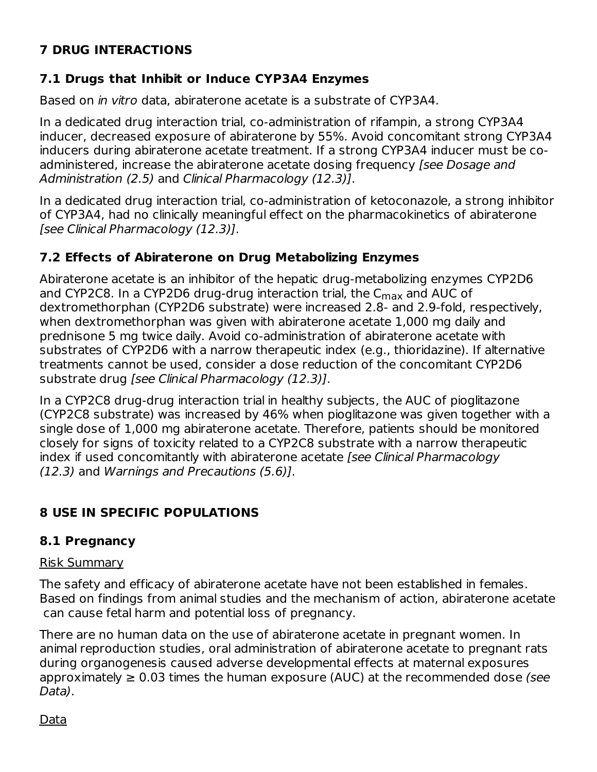# **7 DRUG INTERACTIONS**

# **7.1 Drugs that Inhibit or Induce CYP3A4 Enzymes**

Based on in vitro data, abiraterone acetate is a substrate of CYP3A4.

In a dedicated drug interaction trial, co-administration of rifampin, a strong CYP3A4 inducer, decreased exposure of abiraterone by 55%. Avoid concomitant strong CYP3A4 inducers during abiraterone acetate treatment. If a strong CYP3A4 inducer must be coadministered, increase the abiraterone acetate dosing frequency [see Dosage and Administration (2.5) and Clinical Pharmacology (12.3)].

In a dedicated drug interaction trial, co-administration of ketoconazole, a strong inhibitor of CYP3A4, had no clinically meaningful effect on the pharmacokinetics of abiraterone [see Clinical Pharmacology (12.3)].

# **7.2 Effects of Abiraterone on Drug Metabolizing Enzymes**

Abiraterone acetate is an inhibitor of the hepatic drug-metabolizing enzymes CYP2D6 and CYP2C8. In a CYP2D6 drug-drug interaction trial, the C<sub>max</sub> and AUC of dextromethorphan (CYP2D6 substrate) were increased 2.8- and 2.9-fold, respectively, when dextromethorphan was given with abiraterone acetate 1,000 mg daily and prednisone 5 mg twice daily. Avoid co-administration of abiraterone acetate with substrates of CYP2D6 with a narrow therapeutic index (e.g., thioridazine). If alternative treatments cannot be used, consider a dose reduction of the concomitant CYP2D6 substrate drug [see Clinical Pharmacology (12.3)].

In a CYP2C8 drug-drug interaction trial in healthy subjects, the AUC of pioglitazone (CYP2C8 substrate) was increased by 46% when pioglitazone was given together with a single dose of 1,000 mg abiraterone acetate. Therefore, patients should be monitored closely for signs of toxicity related to a CYP2C8 substrate with a narrow therapeutic index if used concomitantly with abiraterone acetate [see Clinical Pharmacology (12.3) and Warnings and Precautions (5.6)].

# **8 USE IN SPECIFIC POPULATIONS**

# **8.1 Pregnancy**

# Risk Summary

The safety and efficacy of abiraterone acetate have not been established in females. Based on findings from animal studies and the mechanism of action, abiraterone acetate can cause fetal harm and potential loss of pregnancy.

There are no human data on the use of abiraterone acetate in pregnant women. In animal reproduction studies, oral administration of abiraterone acetate to pregnant rats during organogenesis caused adverse developmental effects at maternal exposures approximately  $\geq 0.03$  times the human exposure (AUC) at the recommended dose (see Data).

Data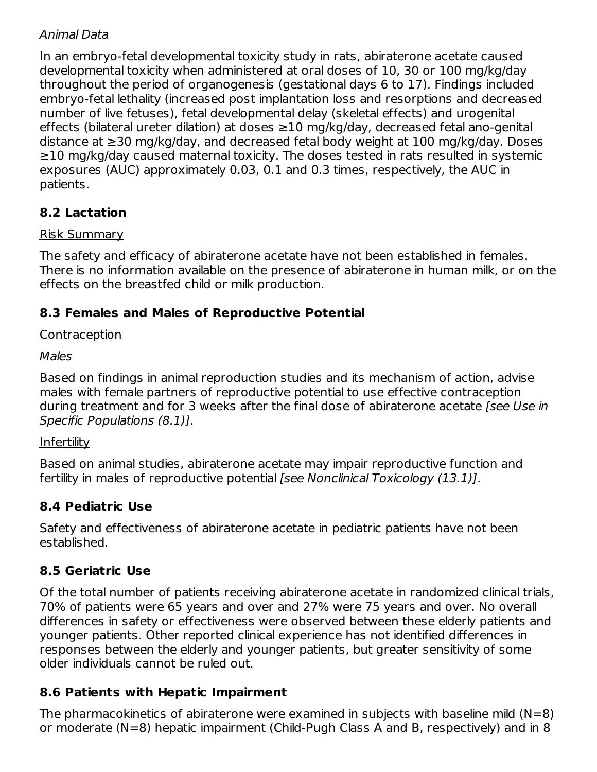# Animal Data

In an embryo-fetal developmental toxicity study in rats, abiraterone acetate caused developmental toxicity when administered at oral doses of 10, 30 or 100 mg/kg/day throughout the period of organogenesis (gestational days 6 to 17). Findings included embryo-fetal lethality (increased post implantation loss and resorptions and decreased number of live fetuses), fetal developmental delay (skeletal effects) and urogenital effects (bilateral ureter dilation) at doses ≥10 mg/kg/day, decreased fetal ano-genital distance at ≥30 mg/kg/day, and decreased fetal body weight at 100 mg/kg/day. Doses ≥10 mg/kg/day caused maternal toxicity. The doses tested in rats resulted in systemic exposures (AUC) approximately 0.03, 0.1 and 0.3 times, respectively, the AUC in patients.

# **8.2 Lactation**

#### Risk Summary

The safety and efficacy of abiraterone acetate have not been established in females. There is no information available on the presence of abiraterone in human milk, or on the effects on the breastfed child or milk production.

# **8.3 Females and Males of Reproductive Potential**

## Contraception

#### Males

Based on findings in animal reproduction studies and its mechanism of action, advise males with female partners of reproductive potential to use effective contraception during treatment and for 3 weeks after the final dose of abiraterone acetate [see Use in Specific Populations (8.1)].

#### Infertility

Based on animal studies, abiraterone acetate may impair reproductive function and fertility in males of reproductive potential *[see Nonclinical Toxicology (13.1)]*.

# **8.4 Pediatric Use**

Safety and effectiveness of abiraterone acetate in pediatric patients have not been established.

# **8.5 Geriatric Use**

Of the total number of patients receiving abiraterone acetate in randomized clinical trials, 70% of patients were 65 years and over and 27% were 75 years and over. No overall differences in safety or effectiveness were observed between these elderly patients and younger patients. Other reported clinical experience has not identified differences in responses between the elderly and younger patients, but greater sensitivity of some older individuals cannot be ruled out.

# **8.6 Patients with Hepatic Impairment**

The pharmacokinetics of abiraterone were examined in subjects with baseline mild (N=8) or moderate (N=8) hepatic impairment (Child-Pugh Class A and B, respectively) and in 8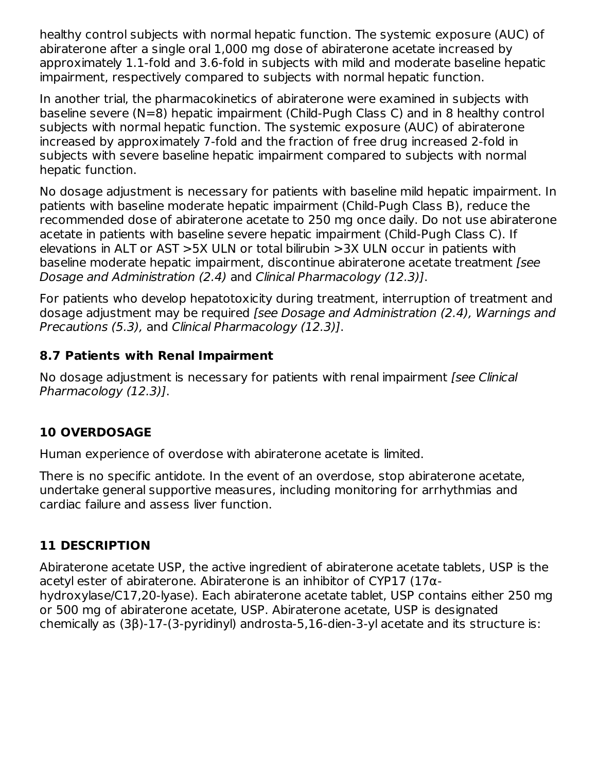healthy control subjects with normal hepatic function. The systemic exposure (AUC) of abiraterone after a single oral 1,000 mg dose of abiraterone acetate increased by approximately 1.1-fold and 3.6-fold in subjects with mild and moderate baseline hepatic impairment, respectively compared to subjects with normal hepatic function.

In another trial, the pharmacokinetics of abiraterone were examined in subjects with baseline severe (N=8) hepatic impairment (Child-Pugh Class C) and in 8 healthy control subjects with normal hepatic function. The systemic exposure (AUC) of abiraterone increased by approximately 7-fold and the fraction of free drug increased 2-fold in subjects with severe baseline hepatic impairment compared to subjects with normal hepatic function.

No dosage adjustment is necessary for patients with baseline mild hepatic impairment. In patients with baseline moderate hepatic impairment (Child-Pugh Class B), reduce the recommended dose of abiraterone acetate to 250 mg once daily. Do not use abiraterone acetate in patients with baseline severe hepatic impairment (Child-Pugh Class C). If elevations in ALT or AST >5X ULN or total bilirubin >3X ULN occur in patients with baseline moderate hepatic impairment, discontinue abiraterone acetate treatment [see Dosage and Administration (2.4) and Clinical Pharmacology (12.3)].

For patients who develop hepatotoxicity during treatment, interruption of treatment and dosage adjustment may be required [see Dosage and Administration (2.4), Warnings and Precautions (5.3), and Clinical Pharmacology (12.3)].

# **8.7 Patients with Renal Impairment**

No dosage adjustment is necessary for patients with renal impairment [see Clinical Pharmacology (12.3)].

# **10 OVERDOSAGE**

Human experience of overdose with abiraterone acetate is limited.

There is no specific antidote. In the event of an overdose, stop abiraterone acetate, undertake general supportive measures, including monitoring for arrhythmias and cardiac failure and assess liver function.

# **11 DESCRIPTION**

Abiraterone acetate USP, the active ingredient of abiraterone acetate tablets, USP is the acetyl ester of abiraterone. Abiraterone is an inhibitor of CYP17 (17αhydroxylase/C17,20-lyase). Each abiraterone acetate tablet, USP contains either 250 mg or 500 mg of abiraterone acetate, USP. Abiraterone acetate, USP is designated chemically as (3β)-17-(3-pyridinyl) androsta-5,16-dien-3-yl acetate and its structure is: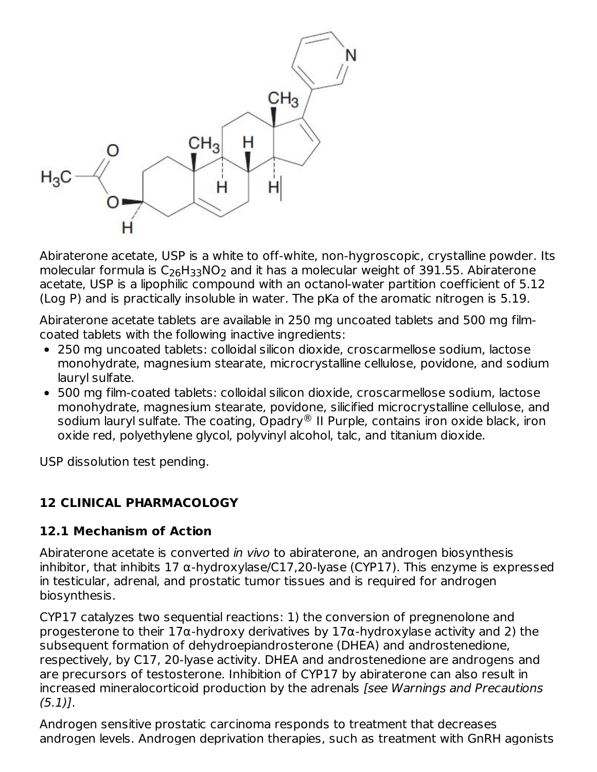

Abiraterone acetate, USP is a white to off-white, non-hygroscopic, crystalline powder. Its molecular formula is  $\mathsf{C}_{26}\mathsf{H}_{33}\mathsf{NO}_{2}$  and it has a molecular weight of 391.55. Abiraterone acetate, USP is a lipophilic compound with an octanol-water partition coefficient of 5.12 (Log P) and is practically insoluble in water. The pKa of the aromatic nitrogen is 5.19.

Abiraterone acetate tablets are available in 250 mg uncoated tablets and 500 mg filmcoated tablets with the following inactive ingredients:

- 250 mg uncoated tablets: colloidal silicon dioxide, croscarmellose sodium, lactose monohydrate, magnesium stearate, microcrystalline cellulose, povidone, and sodium lauryl sulfate.
- 500 mg film-coated tablets: colloidal silicon dioxide, croscarmellose sodium, lactose monohydrate, magnesium stearate, povidone, silicified microcrystalline cellulose, and sodium lauryl sulfate. The coating, Opadry $^\circledR$  II Purple, contains iron oxide black, iron oxide red, polyethylene glycol, polyvinyl alcohol, talc, and titanium dioxide.

USP dissolution test pending.

# **12 CLINICAL PHARMACOLOGY**

# **12.1 Mechanism of Action**

Abiraterone acetate is converted in vivo to abiraterone, an androgen biosynthesis inhibitor, that inhibits 17  $\alpha$ -hydroxylase/C17,20-lyase (CYP17). This enzyme is expressed in testicular, adrenal, and prostatic tumor tissues and is required for androgen biosynthesis.

CYP17 catalyzes two sequential reactions: 1) the conversion of pregnenolone and progesterone to their 17α-hydroxy derivatives by 17α-hydroxylase activity and 2) the subsequent formation of dehydroepiandrosterone (DHEA) and androstenedione, respectively, by C17, 20-lyase activity. DHEA and androstenedione are androgens and are precursors of testosterone. Inhibition of CYP17 by abiraterone can also result in increased mineralocorticoid production by the adrenals [see Warnings and Precautions  $(5.1)$ .

Androgen sensitive prostatic carcinoma responds to treatment that decreases androgen levels. Androgen deprivation therapies, such as treatment with GnRH agonists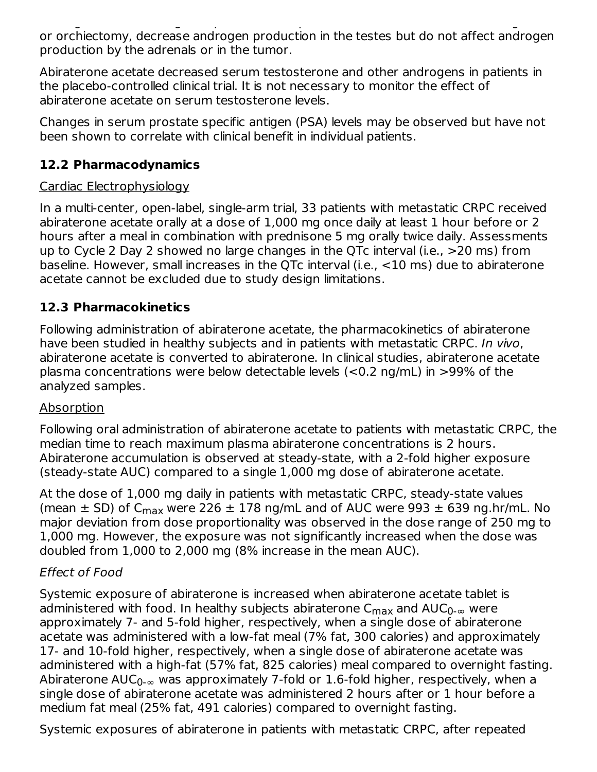androgen levels. Androgen deprivation therapies, such as treatment with GnRH agonists or orchiectomy, decrease androgen production in the testes but do not affect androgen production by the adrenals or in the tumor.

Abiraterone acetate decreased serum testosterone and other androgens in patients in the placebo-controlled clinical trial. It is not necessary to monitor the effect of abiraterone acetate on serum testosterone levels.

Changes in serum prostate specific antigen (PSA) levels may be observed but have not been shown to correlate with clinical benefit in individual patients.

# **12.2 Pharmacodynamics**

# Cardiac Electrophysiology

In a multi-center, open-label, single-arm trial, 33 patients with metastatic CRPC received abiraterone acetate orally at a dose of 1,000 mg once daily at least 1 hour before or 2 hours after a meal in combination with prednisone 5 mg orally twice daily. Assessments up to Cycle 2 Day 2 showed no large changes in the QTc interval (i.e., >20 ms) from baseline. However, small increases in the QTc interval (i.e., <10 ms) due to abiraterone acetate cannot be excluded due to study design limitations.

# **12.3 Pharmacokinetics**

Following administration of abiraterone acetate, the pharmacokinetics of abiraterone have been studied in healthy subjects and in patients with metastatic CRPC. In vivo, abiraterone acetate is converted to abiraterone. In clinical studies, abiraterone acetate plasma concentrations were below detectable levels (<0.2 ng/mL) in >99% of the analyzed samples.

# Absorption

Following oral administration of abiraterone acetate to patients with metastatic CRPC, the median time to reach maximum plasma abiraterone concentrations is 2 hours. Abiraterone accumulation is observed at steady-state, with a 2-fold higher exposure (steady-state AUC) compared to a single 1,000 mg dose of abiraterone acetate.

At the dose of 1,000 mg daily in patients with metastatic CRPC, steady-state values (mean  $\pm$  SD) of C<sub>max</sub> were 226  $\pm$  178 ng/mL and of AUC were 993  $\pm$  639 ng.hr/mL. No major deviation from dose proportionality was observed in the dose range of 250 mg to 1,000 mg. However, the exposure was not significantly increased when the dose was doubled from 1,000 to 2,000 mg (8% increase in the mean AUC).

# Effect of Food

Systemic exposure of abiraterone is increased when abiraterone acetate tablet is administered with food. In healthy subjects abiraterone  $\mathsf{C}_{\mathsf{max}}$  and  $\mathsf{AUC}_{0\text{-}\infty}$  were approximately 7- and 5-fold higher, respectively, when a single dose of abiraterone acetate was administered with a low-fat meal (7% fat, 300 calories) and approximately 17- and 10-fold higher, respectively, when a single dose of abiraterone acetate was administered with a high-fat (57% fat, 825 calories) meal compared to overnight fasting. Abiraterone AUC $_{0\text{-}\infty}$  was approximately 7-fold or 1.6-fold higher, respectively, when a single dose of abiraterone acetate was administered 2 hours after or 1 hour before a medium fat meal (25% fat, 491 calories) compared to overnight fasting.

Systemic exposures of abiraterone in patients with metastatic CRPC, after repeated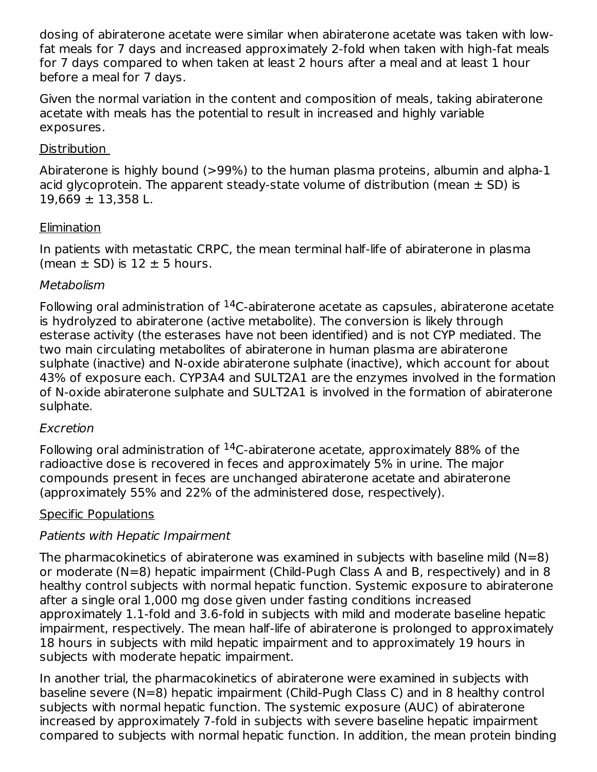dosing of abiraterone acetate were similar when abiraterone acetate was taken with lowfat meals for 7 days and increased approximately 2-fold when taken with high-fat meals for 7 days compared to when taken at least 2 hours after a meal and at least 1 hour before a meal for 7 days.

Given the normal variation in the content and composition of meals, taking abiraterone acetate with meals has the potential to result in increased and highly variable exposures.

## Distribution

Abiraterone is highly bound (>99%) to the human plasma proteins, albumin and alpha-1 acid glycoprotein. The apparent steady-state volume of distribution (mean  $\pm$  SD) is  $19.669 \pm 13.358$  L.

## **Elimination**

In patients with metastatic CRPC, the mean terminal half-life of abiraterone in plasma (mean  $\pm$  SD) is 12  $\pm$  5 hours.

## **Metabolism**

Following oral administration of  $14C$ -abiraterone acetate as capsules, abiraterone acetate is hydrolyzed to abiraterone (active metabolite). The conversion is likely through esterase activity (the esterases have not been identified) and is not CYP mediated. The two main circulating metabolites of abiraterone in human plasma are abiraterone sulphate (inactive) and N-oxide abiraterone sulphate (inactive), which account for about 43% of exposure each. CYP3A4 and SULT2A1 are the enzymes involved in the formation of N-oxide abiraterone sulphate and SULT2A1 is involved in the formation of abiraterone sulphate.

#### Excretion

Following oral administration of  $14$ C-abiraterone acetate, approximately 88% of the radioactive dose is recovered in feces and approximately 5% in urine. The major compounds present in feces are unchanged abiraterone acetate and abiraterone (approximately 55% and 22% of the administered dose, respectively).

# Specific Populations

# Patients with Hepatic Impairment

The pharmacokinetics of abiraterone was examined in subjects with baseline mild  $(N=8)$ or moderate (N=8) hepatic impairment (Child-Pugh Class A and B, respectively) and in 8 healthy control subjects with normal hepatic function. Systemic exposure to abiraterone after a single oral 1,000 mg dose given under fasting conditions increased approximately 1.1-fold and 3.6-fold in subjects with mild and moderate baseline hepatic impairment, respectively. The mean half-life of abiraterone is prolonged to approximately 18 hours in subjects with mild hepatic impairment and to approximately 19 hours in subjects with moderate hepatic impairment.

In another trial, the pharmacokinetics of abiraterone were examined in subjects with baseline severe (N=8) hepatic impairment (Child-Pugh Class C) and in 8 healthy control subjects with normal hepatic function. The systemic exposure (AUC) of abiraterone increased by approximately 7-fold in subjects with severe baseline hepatic impairment compared to subjects with normal hepatic function. In addition, the mean protein binding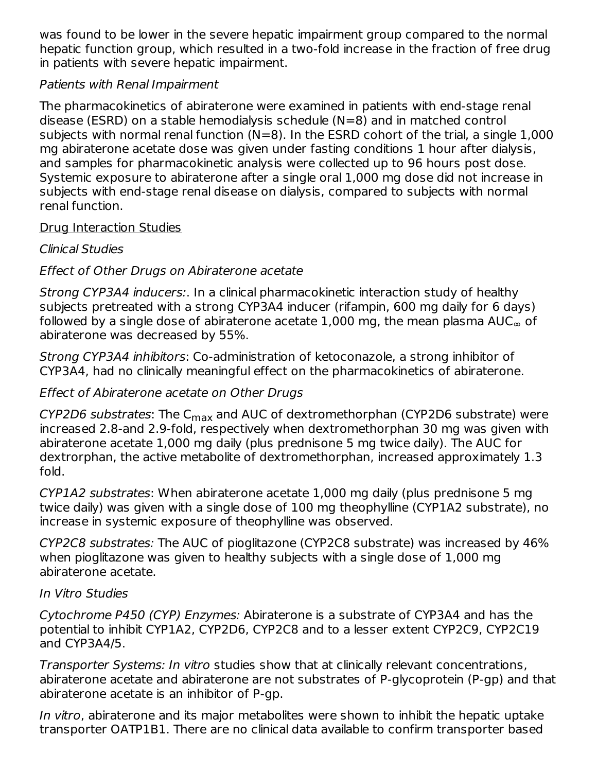was found to be lower in the severe hepatic impairment group compared to the normal hepatic function group, which resulted in a two-fold increase in the fraction of free drug in patients with severe hepatic impairment.

## Patients with Renal Impairment

The pharmacokinetics of abiraterone were examined in patients with end-stage renal disease (ESRD) on a stable hemodialysis schedule (N=8) and in matched control subjects with normal renal function (N=8). In the ESRD cohort of the trial, a single 1,000 mg abiraterone acetate dose was given under fasting conditions 1 hour after dialysis, and samples for pharmacokinetic analysis were collected up to 96 hours post dose. Systemic exposure to abiraterone after a single oral 1,000 mg dose did not increase in subjects with end-stage renal disease on dialysis, compared to subjects with normal renal function.

#### Drug Interaction Studies

Clinical Studies

# Effect of Other Drugs on Abiraterone acetate

Strong CYP3A4 inducers:. In a clinical pharmacokinetic interaction study of healthy subjects pretreated with a strong CYP3A4 inducer (rifampin, 600 mg daily for 6 days) followed by a single dose of abiraterone acetate 1,000 mg, the mean plasma AUC $_{\infty}$  of abiraterone was decreased by 55%.

Strong CYP3A4 inhibitors: Co-administration of ketoconazole, a strong inhibitor of CYP3A4, had no clinically meaningful effect on the pharmacokinetics of abiraterone.

## Effect of Abiraterone acetate on Other Drugs

*CYP2D6 substrates*: The C<sub>max</sub> and AUC of dextromethorphan (CYP2D6 substrate) were increased 2.8-and 2.9-fold, respectively when dextromethorphan 30 mg was given with abiraterone acetate 1,000 mg daily (plus prednisone 5 mg twice daily). The AUC for dextrorphan, the active metabolite of dextromethorphan, increased approximately 1.3 fold.

CYP1A2 substrates: When abiraterone acetate 1,000 mg daily (plus prednisone 5 mg twice daily) was given with a single dose of 100 mg theophylline (CYP1A2 substrate), no increase in systemic exposure of theophylline was observed.

CYP2C8 substrates: The AUC of pioglitazone (CYP2C8 substrate) was increased by 46% when pioglitazone was given to healthy subjects with a single dose of 1,000 mg abiraterone acetate.

#### In Vitro Studies

Cytochrome P450 (CYP) Enzymes: Abiraterone is a substrate of CYP3A4 and has the potential to inhibit CYP1A2, CYP2D6, CYP2C8 and to a lesser extent CYP2C9, CYP2C19 and CYP3A4/5.

Transporter Systems: In vitro studies show that at clinically relevant concentrations, abiraterone acetate and abiraterone are not substrates of P-glycoprotein (P-gp) and that abiraterone acetate is an inhibitor of P-gp.

In vitro, abiraterone and its major metabolites were shown to inhibit the hepatic uptake transporter OATP1B1. There are no clinical data available to confirm transporter based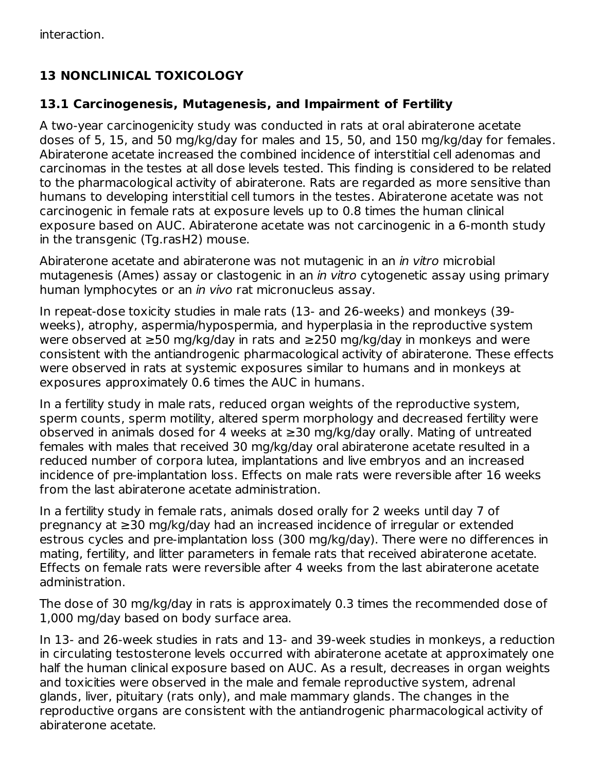# **13 NONCLINICAL TOXICOLOGY**

## **13.1 Carcinogenesis, Mutagenesis, and Impairment of Fertility**

A two-year carcinogenicity study was conducted in rats at oral abiraterone acetate doses of 5, 15, and 50 mg/kg/day for males and 15, 50, and 150 mg/kg/day for females. Abiraterone acetate increased the combined incidence of interstitial cell adenomas and carcinomas in the testes at all dose levels tested. This finding is considered to be related to the pharmacological activity of abiraterone. Rats are regarded as more sensitive than humans to developing interstitial cell tumors in the testes. Abiraterone acetate was not carcinogenic in female rats at exposure levels up to 0.8 times the human clinical exposure based on AUC. Abiraterone acetate was not carcinogenic in a 6-month study in the transgenic (Tg.rasH2) mouse.

Abiraterone acetate and abiraterone was not mutagenic in an *in vitro* microbial mutagenesis (Ames) assay or clastogenic in an in vitro cytogenetic assay using primary human lymphocytes or an *in vivo* rat micronucleus assay.

In repeat-dose toxicity studies in male rats (13- and 26-weeks) and monkeys (39 weeks), atrophy, aspermia/hypospermia, and hyperplasia in the reproductive system were observed at ≥50 mg/kg/day in rats and ≥250 mg/kg/day in monkeys and were consistent with the antiandrogenic pharmacological activity of abiraterone. These effects were observed in rats at systemic exposures similar to humans and in monkeys at exposures approximately 0.6 times the AUC in humans.

In a fertility study in male rats, reduced organ weights of the reproductive system, sperm counts, sperm motility, altered sperm morphology and decreased fertility were observed in animals dosed for 4 weeks at  $\geq$ 30 mg/kg/day orally. Mating of untreated females with males that received 30 mg/kg/day oral abiraterone acetate resulted in a reduced number of corpora lutea, implantations and live embryos and an increased incidence of pre-implantation loss. Effects on male rats were reversible after 16 weeks from the last abiraterone acetate administration.

In a fertility study in female rats, animals dosed orally for 2 weeks until day 7 of pregnancy at ≥30 mg/kg/day had an increased incidence of irregular or extended estrous cycles and pre-implantation loss (300 mg/kg/day). There were no differences in mating, fertility, and litter parameters in female rats that received abiraterone acetate. Effects on female rats were reversible after 4 weeks from the last abiraterone acetate administration.

The dose of 30 mg/kg/day in rats is approximately 0.3 times the recommended dose of 1,000 mg/day based on body surface area.

In 13- and 26-week studies in rats and 13- and 39-week studies in monkeys, a reduction in circulating testosterone levels occurred with abiraterone acetate at approximately one half the human clinical exposure based on AUC. As a result, decreases in organ weights and toxicities were observed in the male and female reproductive system, adrenal glands, liver, pituitary (rats only), and male mammary glands. The changes in the reproductive organs are consistent with the antiandrogenic pharmacological activity of abiraterone acetate.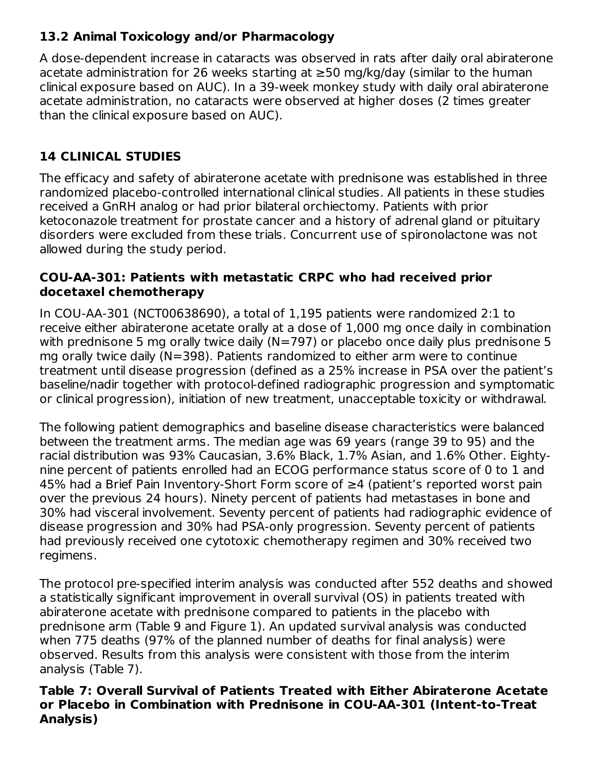# **13.2 Animal Toxicology and/or Pharmacology**

A dose-dependent increase in cataracts was observed in rats after daily oral abiraterone acetate administration for 26 weeks starting at ≥50 mg/kg/day (similar to the human clinical exposure based on AUC). In a 39-week monkey study with daily oral abiraterone acetate administration, no cataracts were observed at higher doses (2 times greater than the clinical exposure based on AUC).

# **14 CLINICAL STUDIES**

The efficacy and safety of abiraterone acetate with prednisone was established in three randomized placebo-controlled international clinical studies. All patients in these studies received a GnRH analog or had prior bilateral orchiectomy. Patients with prior ketoconazole treatment for prostate cancer and a history of adrenal gland or pituitary disorders were excluded from these trials. Concurrent use of spironolactone was not allowed during the study period.

## **COU-AA-301: Patients with metastatic CRPC who had received prior docetaxel chemotherapy**

In COU-AA-301 (NCT00638690), a total of 1,195 patients were randomized 2:1 to receive either abiraterone acetate orally at a dose of 1,000 mg once daily in combination with prednisone 5 mg orally twice daily (N=797) or placebo once daily plus prednisone 5 mg orally twice daily (N=398). Patients randomized to either arm were to continue treatment until disease progression (defined as a 25% increase in PSA over the patient's baseline/nadir together with protocol-defined radiographic progression and symptomatic or clinical progression), initiation of new treatment, unacceptable toxicity or withdrawal.

The following patient demographics and baseline disease characteristics were balanced between the treatment arms. The median age was 69 years (range 39 to 95) and the racial distribution was 93% Caucasian, 3.6% Black, 1.7% Asian, and 1.6% Other. Eightynine percent of patients enrolled had an ECOG performance status score of 0 to 1 and 45% had a Brief Pain Inventory-Short Form score of ≥4 (patient's reported worst pain over the previous 24 hours). Ninety percent of patients had metastases in bone and 30% had visceral involvement. Seventy percent of patients had radiographic evidence of disease progression and 30% had PSA-only progression. Seventy percent of patients had previously received one cytotoxic chemotherapy regimen and 30% received two regimens.

The protocol pre-specified interim analysis was conducted after 552 deaths and showed a statistically significant improvement in overall survival (OS) in patients treated with abiraterone acetate with prednisone compared to patients in the placebo with prednisone arm (Table 9 and Figure 1). An updated survival analysis was conducted when 775 deaths (97% of the planned number of deaths for final analysis) were observed. Results from this analysis were consistent with those from the interim analysis (Table 7).

#### **Table 7: Overall Survival of Patients Treated with Either Abiraterone Acetate or Placebo in Combination with Prednisone in COU-AA-301 (Intent-to-Treat Analysis)**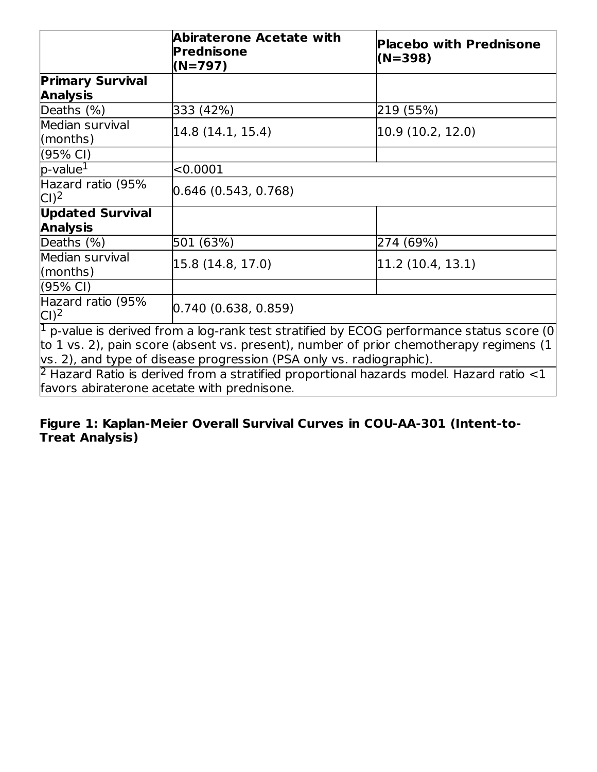|                                                                                                           | <b>Abiraterone Acetate with</b><br>Prednisone<br>$(N=797)$                                         | <b>Placebo with Prednisone</b><br>(N=398) |  |  |  |
|-----------------------------------------------------------------------------------------------------------|----------------------------------------------------------------------------------------------------|-------------------------------------------|--|--|--|
| <b>Primary Survival</b><br><b>Analysis</b>                                                                |                                                                                                    |                                           |  |  |  |
| Deaths (%)                                                                                                | 333 (42%)                                                                                          | 219 (55%)                                 |  |  |  |
| Median survival<br>(months)                                                                               | 14.8 (14.1, 15.4)                                                                                  | 10.9 (10.2, 12.0)                         |  |  |  |
| (95% CI)                                                                                                  |                                                                                                    |                                           |  |  |  |
| $p$ -value $^1$                                                                                           | < 0.0001                                                                                           |                                           |  |  |  |
| Hazard ratio (95%<br>Cl <sup>2</sup>                                                                      | [0.646(0.543, 0.768)]                                                                              |                                           |  |  |  |
| <b>Updated Survival</b>                                                                                   |                                                                                                    |                                           |  |  |  |
| <b>Analysis</b>                                                                                           |                                                                                                    |                                           |  |  |  |
| Deaths (%)                                                                                                | 501 (63%)                                                                                          | 274 (69%)                                 |  |  |  |
| Median survival<br>(months)                                                                               | 15.8 (14.8, 17.0)                                                                                  | 11.2 (10.4, 13.1)                         |  |  |  |
| $(95% \text{ Cl})$                                                                                        |                                                                                                    |                                           |  |  |  |
| Hazard ratio (95%<br>Cl <sup>2</sup>                                                                      | (0.740(0.638, 0.859))                                                                              |                                           |  |  |  |
|                                                                                                           | $\sqrt{1}$ p-value is derived from a log-rank test stratified by ECOG performance status score (0) |                                           |  |  |  |
|                                                                                                           | to 1 vs. 2), pain score (absent vs. present), number of prior chemotherapy regimens (1             |                                           |  |  |  |
| vs. 2), and type of disease progression (PSA only vs. radiographic).                                      |                                                                                                    |                                           |  |  |  |
| $\overline{P}$ Hazard Ratio is derived from a stratified proportional hazards model. Hazard ratio $\lt 1$ |                                                                                                    |                                           |  |  |  |
|                                                                                                           | favors abiraterone acetate with prednisone.                                                        |                                           |  |  |  |

#### **Figure 1: Kaplan-Meier Overall Survival Curves in COU-AA-301 (Intent-to-Treat Analysis)**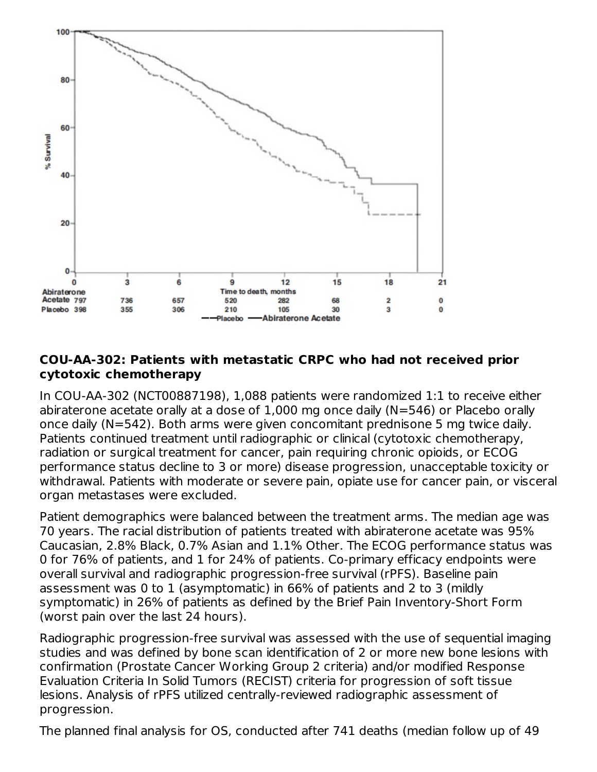

## **COU-AA-302: Patients with metastatic CRPC who had not received prior cytotoxic chemotherapy**

In COU-AA-302 (NCT00887198), 1,088 patients were randomized 1:1 to receive either abiraterone acetate orally at a dose of 1,000 mg once daily (N=546) or Placebo orally once daily (N=542). Both arms were given concomitant prednisone 5 mg twice daily. Patients continued treatment until radiographic or clinical (cytotoxic chemotherapy, radiation or surgical treatment for cancer, pain requiring chronic opioids, or ECOG performance status decline to 3 or more) disease progression, unacceptable toxicity or withdrawal. Patients with moderate or severe pain, opiate use for cancer pain, or visceral organ metastases were excluded.

Patient demographics were balanced between the treatment arms. The median age was 70 years. The racial distribution of patients treated with abiraterone acetate was 95% Caucasian, 2.8% Black, 0.7% Asian and 1.1% Other. The ECOG performance status was 0 for 76% of patients, and 1 for 24% of patients. Co-primary efficacy endpoints were overall survival and radiographic progression-free survival (rPFS). Baseline pain assessment was 0 to 1 (asymptomatic) in 66% of patients and 2 to 3 (mildly symptomatic) in 26% of patients as defined by the Brief Pain Inventory-Short Form (worst pain over the last 24 hours).

Radiographic progression-free survival was assessed with the use of sequential imaging studies and was defined by bone scan identification of 2 or more new bone lesions with confirmation (Prostate Cancer Working Group 2 criteria) and/or modified Response Evaluation Criteria In Solid Tumors (RECIST) criteria for progression of soft tissue lesions. Analysis of rPFS utilized centrally-reviewed radiographic assessment of progression.

The planned final analysis for OS, conducted after 741 deaths (median follow up of 49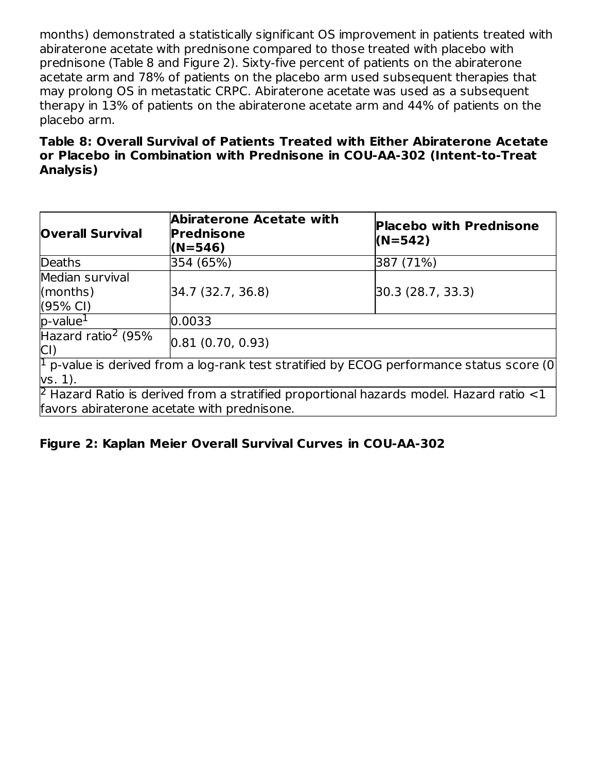months) demonstrated a statistically significant OS improvement in patients treated with abiraterone acetate with prednisone compared to those treated with placebo with prednisone (Table 8 and Figure 2). Sixty-five percent of patients on the abiraterone acetate arm and 78% of patients on the placebo arm used subsequent therapies that may prolong OS in metastatic CRPC. Abiraterone acetate was used as a subsequent therapy in 13% of patients on the abiraterone acetate arm and 44% of patients on the placebo arm.

#### **Table 8: Overall Survival of Patients Treated with Either Abiraterone Acetate or Placebo in Combination with Prednisone in COU-AA-302 (Intent-to-Treat Analysis)**

| <b>Overall Survival</b>                                                                                                 | Abiraterone Acetate with<br><b>Prednisone</b><br>$(N=546)$ | <b>Placebo with Prednisone</b><br>$(N=542)$                                                      |  |  |  |
|-------------------------------------------------------------------------------------------------------------------------|------------------------------------------------------------|--------------------------------------------------------------------------------------------------|--|--|--|
| <b>Deaths</b>                                                                                                           | 354 (65%)                                                  | 387 (71%)                                                                                        |  |  |  |
| Median survival<br>(months)<br>(95% CI)                                                                                 | 34.7 (32.7, 36.8)                                          | [30.3 (28.7, 33.3)]                                                                              |  |  |  |
| $p$ -value <sup>1</sup>                                                                                                 | 0.0033                                                     |                                                                                                  |  |  |  |
| Hazard ratio <sup>2</sup> (95%<br>CI)                                                                                   | [0.81(0.70, 0.93)]                                         |                                                                                                  |  |  |  |
| $\vert$ <sup>1</sup> p-value is derived from a log-rank test stratified by ECOG performance status score (0)<br>vs. 1). |                                                            |                                                                                                  |  |  |  |
|                                                                                                                         | favors abiraterone acetate with prednisone.                | $\beta$ Hazard Ratio is derived from a stratified proportional hazards model. Hazard ratio $<$ 1 |  |  |  |

# **Figure 2: Kaplan Meier Overall Survival Curves in COU-AA-302**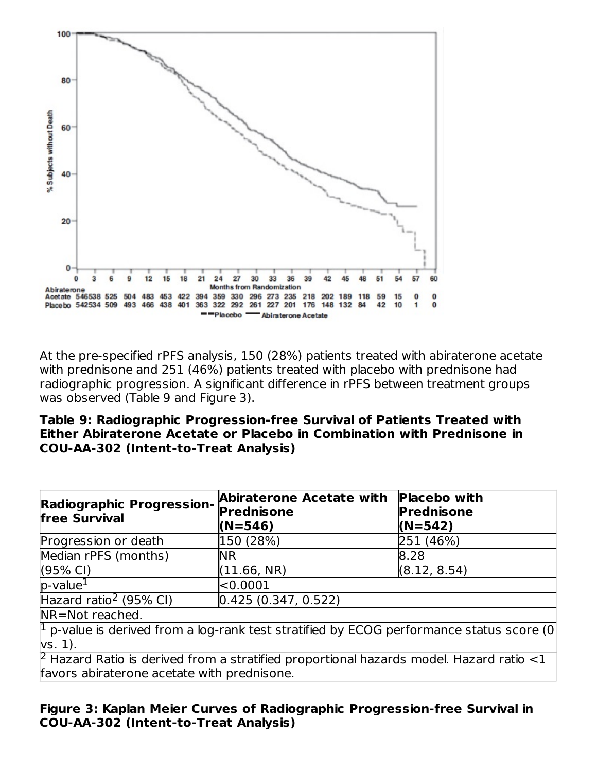

At the pre-specified rPFS analysis, 150 (28%) patients treated with abiraterone acetate with prednisone and 251 (46%) patients treated with placebo with prednisone had radiographic progression. A significant difference in rPFS between treatment groups was observed (Table 9 and Figure 3).

**Table 9: Radiographic Progression-free Survival of Patients Treated with Either Abiraterone Acetate or Placebo in Combination with Prednisone in COU-AA-302 (Intent-to-Treat Analysis)**

| <b>Radiographic Progression-</b><br><b>free Survival</b>                                                                                     | Abiraterone Acetate with<br><b>Prednisone</b><br>$(N=546)$ | <b>Placebo</b> with<br><b>Prednisone</b><br>$(N=542)$ |  |  |  |
|----------------------------------------------------------------------------------------------------------------------------------------------|------------------------------------------------------------|-------------------------------------------------------|--|--|--|
| Progression or death                                                                                                                         | 150 (28%)                                                  | 251 (46%)                                             |  |  |  |
| Median rPFS (months)                                                                                                                         | <b>NR</b>                                                  | 8.28                                                  |  |  |  |
| $(95% \text{ Cl})$                                                                                                                           | (11.66, NR)                                                | (8.12, 8.54)                                          |  |  |  |
| $p$ -value <sup>1</sup>                                                                                                                      | < 0.0001                                                   |                                                       |  |  |  |
| Hazard ratio <sup>2</sup> (95% CI)                                                                                                           | [0.425(0.347, 0.522)]                                      |                                                       |  |  |  |
| NR=Not reached.                                                                                                                              |                                                            |                                                       |  |  |  |
| $\vert$ <sup>1</sup> p-value is derived from a log-rank test stratified by ECOG performance status score (0)<br>vs. 1).                      |                                                            |                                                       |  |  |  |
| $\beta$ Hazard Ratio is derived from a stratified proportional hazards model. Hazard ratio <1<br>favors abiraterone acetate with prednisone. |                                                            |                                                       |  |  |  |

#### **Figure 3: Kaplan Meier Curves of Radiographic Progression-free Survival in COU-AA-302 (Intent-to-Treat Analysis)**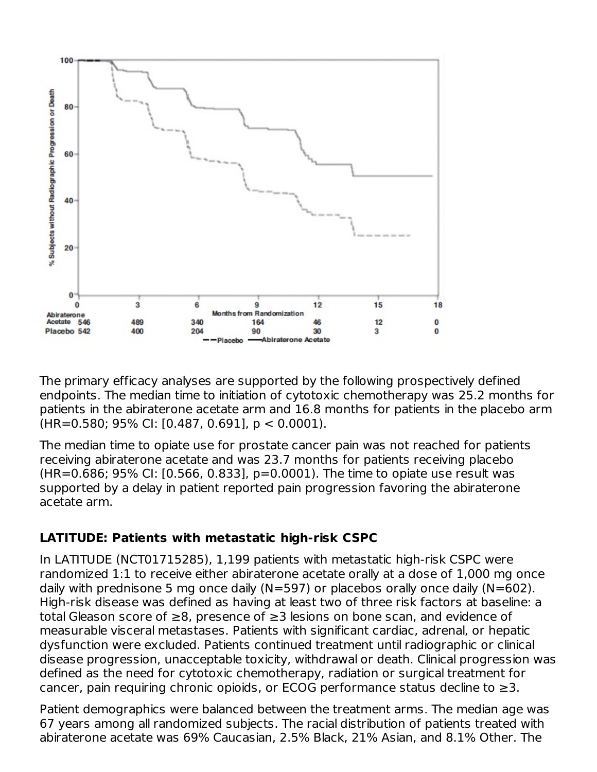

The primary efficacy analyses are supported by the following prospectively defined endpoints. The median time to initiation of cytotoxic chemotherapy was 25.2 months for patients in the abiraterone acetate arm and 16.8 months for patients in the placebo arm (HR=0.580; 95% CI: [0.487, 0.691], p < 0.0001).

The median time to opiate use for prostate cancer pain was not reached for patients receiving abiraterone acetate and was 23.7 months for patients receiving placebo (HR=0.686; 95% CI: [0.566, 0.833], p=0.0001). The time to opiate use result was supported by a delay in patient reported pain progression favoring the abiraterone acetate arm.

# **LATITUDE: Patients with metastatic high-risk CSPC**

In LATITUDE (NCT01715285), 1,199 patients with metastatic high-risk CSPC were randomized 1:1 to receive either abiraterone acetate orally at a dose of 1,000 mg once daily with prednisone 5 mg once daily (N=597) or placebos orally once daily (N=602). High-risk disease was defined as having at least two of three risk factors at baseline: a total Gleason score of ≥8, presence of ≥3 lesions on bone scan, and evidence of measurable visceral metastases. Patients with significant cardiac, adrenal, or hepatic dysfunction were excluded. Patients continued treatment until radiographic or clinical disease progression, unacceptable toxicity, withdrawal or death. Clinical progression was defined as the need for cytotoxic chemotherapy, radiation or surgical treatment for cancer, pain requiring chronic opioids, or ECOG performance status decline to  $\geq$ 3.

Patient demographics were balanced between the treatment arms. The median age was 67 years among all randomized subjects. The racial distribution of patients treated with abiraterone acetate was 69% Caucasian, 2.5% Black, 21% Asian, and 8.1% Other. The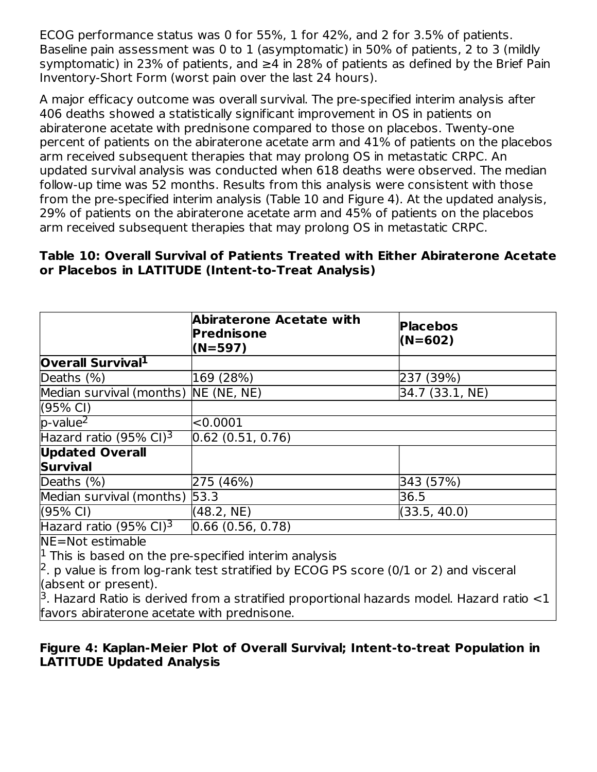ECOG performance status was 0 for 55%, 1 for 42%, and 2 for 3.5% of patients. Baseline pain assessment was 0 to 1 (asymptomatic) in 50% of patients, 2 to 3 (mildly symptomatic) in 23% of patients, and  $\geq$ 4 in 28% of patients as defined by the Brief Pain Inventory-Short Form (worst pain over the last 24 hours).

A major efficacy outcome was overall survival. The pre-specified interim analysis after 406 deaths showed a statistically significant improvement in OS in patients on abiraterone acetate with prednisone compared to those on placebos. Twenty-one percent of patients on the abiraterone acetate arm and 41% of patients on the placebos arm received subsequent therapies that may prolong OS in metastatic CRPC. An updated survival analysis was conducted when 618 deaths were observed. The median follow-up time was 52 months. Results from this analysis were consistent with those from the pre-specified interim analysis (Table 10 and Figure 4). At the updated analysis, 29% of patients on the abiraterone acetate arm and 45% of patients on the placebos arm received subsequent therapies that may prolong OS in metastatic CRPC.

#### **Table 10: Overall Survival of Patients Treated with Either Abiraterone Acetate or Placebos in LATITUDE (Intent-to-Treat Analysis)**

|                                                                          | Abiraterone Acetate with<br>Prednisone<br>$(N=597)$                                         | <b>Placebos</b><br>(N=602) |  |  |
|--------------------------------------------------------------------------|---------------------------------------------------------------------------------------------|----------------------------|--|--|
| Overall Survival <sup>1</sup>                                            |                                                                                             |                            |  |  |
| Deaths (%)                                                               | 169 (28%)                                                                                   | 237 (39%)                  |  |  |
| Median survival (months) NE (NE, NE)                                     |                                                                                             | 34.7 (33.1, NE)            |  |  |
| $(95% \text{ Cl})$                                                       |                                                                                             |                            |  |  |
| $p$ -value <sup>2</sup>                                                  | < 0.0001                                                                                    |                            |  |  |
| Hazard ratio (95% CI) <sup>3</sup>                                       | 0.62(0.51, 0.76)                                                                            |                            |  |  |
| <b>Updated Overall</b>                                                   |                                                                                             |                            |  |  |
| <b>Survival</b>                                                          |                                                                                             |                            |  |  |
| Deaths $(\%)$                                                            | 275 (46%)                                                                                   | 343 (57%)                  |  |  |
| Median survival (months) 53.3                                            |                                                                                             | 36.5                       |  |  |
| (95% CI)                                                                 | (48.2, NE)                                                                                  | (33.5, 40.0)               |  |  |
| Hazard ratio (95% CI) <sup>3</sup>                                       | [0.66(0.56, 0.78)]                                                                          |                            |  |  |
| NE=Not estimable                                                         |                                                                                             |                            |  |  |
| $\vert$ <sup>1</sup> This is based on the pre-specified interim analysis |                                                                                             |                            |  |  |
|                                                                          | $\beta$ . p value is from log-rank test stratified by ECOG PS score (0/1 or 2) and visceral |                            |  |  |
| (absent or present).                                                     |                                                                                             |                            |  |  |

 $3$ . Hazard Ratio is derived from a stratified proportional hazards model. Hazard ratio  $<$ 1 favors abiraterone acetate with prednisone.

# **Figure 4: Kaplan-Meier Plot of Overall Survival; Intent-to-treat Population in LATITUDE Updated Analysis**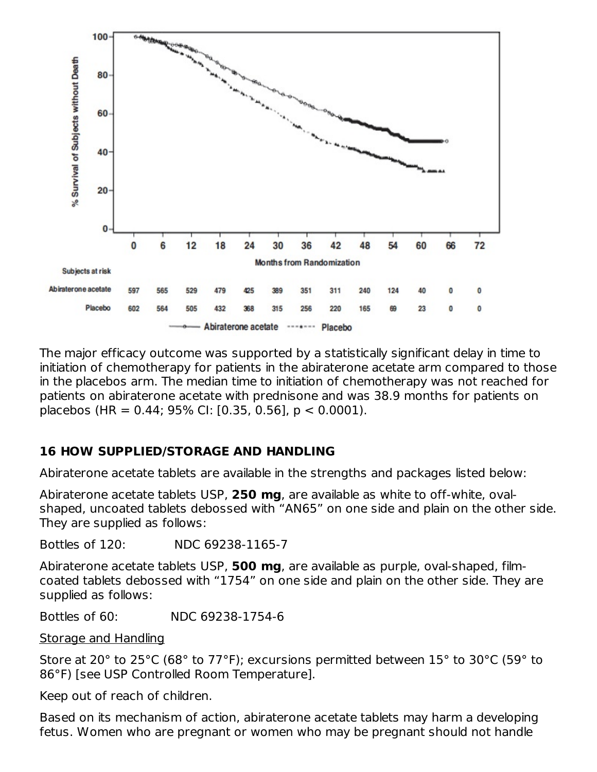

The major efficacy outcome was supported by a statistically significant delay in time to initiation of chemotherapy for patients in the abiraterone acetate arm compared to those in the placebos arm. The median time to initiation of chemotherapy was not reached for patients on abiraterone acetate with prednisone and was 38.9 months for patients on placebos (HR = 0.44; 95% CI: [0.35, 0.56], p < 0.0001).

# **16 HOW SUPPLIED/STORAGE AND HANDLING**

Abiraterone acetate tablets are available in the strengths and packages listed below:

Abiraterone acetate tablets USP, **250 mg**, are available as white to off-white, ovalshaped, uncoated tablets debossed with "AN65" on one side and plain on the other side. They are supplied as follows:

Bottles of 120: NDC 69238-1165-7

Abiraterone acetate tablets USP, **500 mg**, are available as purple, oval-shaped, filmcoated tablets debossed with "1754" on one side and plain on the other side. They are supplied as follows:

Bottles of 60: NDC 69238-1754-6

Storage and Handling

Store at 20° to 25°C (68° to 77°F); excursions permitted between 15° to 30°C (59° to 86°F) [see USP Controlled Room Temperature].

Keep out of reach of children.

Based on its mechanism of action, abiraterone acetate tablets may harm a developing fetus. Women who are pregnant or women who may be pregnant should not handle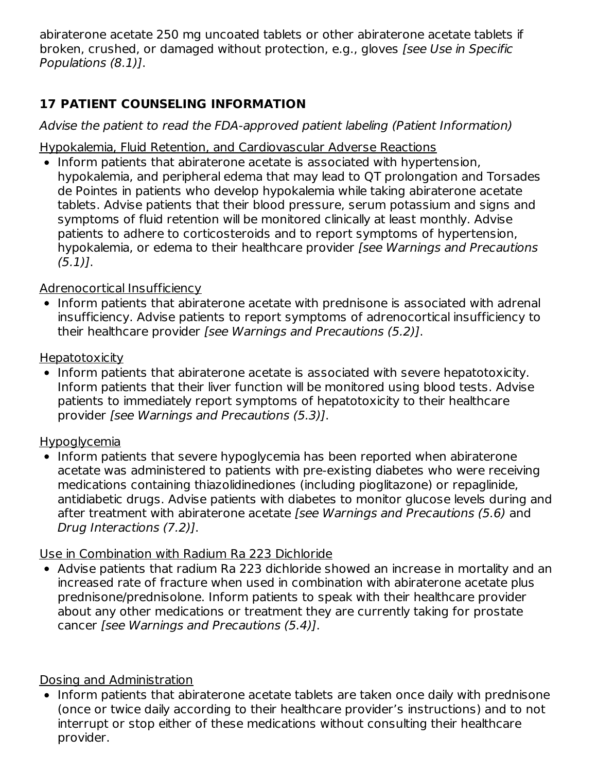abiraterone acetate 250 mg uncoated tablets or other abiraterone acetate tablets if broken, crushed, or damaged without protection, e.g., gloves [see Use in Specific Populations (8.1)].

# **17 PATIENT COUNSELING INFORMATION**

Advise the patient to read the FDA-approved patient labeling (Patient Information)

Hypokalemia, Fluid Retention, and Cardiovascular Adverse Reactions

• Inform patients that abiraterone acetate is associated with hypertension, hypokalemia, and peripheral edema that may lead to QT prolongation and Torsades de Pointes in patients who develop hypokalemia while taking abiraterone acetate tablets. Advise patients that their blood pressure, serum potassium and signs and symptoms of fluid retention will be monitored clinically at least monthly. Advise patients to adhere to corticosteroids and to report symptoms of hypertension, hypokalemia, or edema to their healthcare provider [see Warnings and Precautions (5.1)].

# Adrenocortical Insufficiency

• Inform patients that abiraterone acetate with prednisone is associated with adrenal insufficiency. Advise patients to report symptoms of adrenocortical insufficiency to their healthcare provider [see Warnings and Precautions (5.2)].

# **Hepatotoxicity**

• Inform patients that abiraterone acetate is associated with severe hepatotoxicity. Inform patients that their liver function will be monitored using blood tests. Advise patients to immediately report symptoms of hepatotoxicity to their healthcare provider [see Warnings and Precautions (5.3)].

# Hypoglycemia

• Inform patients that severe hypoglycemia has been reported when abiraterone acetate was administered to patients with pre-existing diabetes who were receiving medications containing thiazolidinediones (including pioglitazone) or repaglinide, antidiabetic drugs. Advise patients with diabetes to monitor glucose levels during and after treatment with abiraterone acetate [see Warnings and Precautions (5.6) and Drug Interactions (7.2)].

# Use in Combination with Radium Ra 223 Dichloride

Advise patients that radium Ra 223 dichloride showed an increase in mortality and an increased rate of fracture when used in combination with abiraterone acetate plus prednisone/prednisolone. Inform patients to speak with their healthcare provider about any other medications or treatment they are currently taking for prostate cancer [see Warnings and Precautions (5.4)].

# Dosing and Administration

• Inform patients that abiraterone acetate tablets are taken once daily with prednisone (once or twice daily according to their healthcare provider's instructions) and to not interrupt or stop either of these medications without consulting their healthcare provider.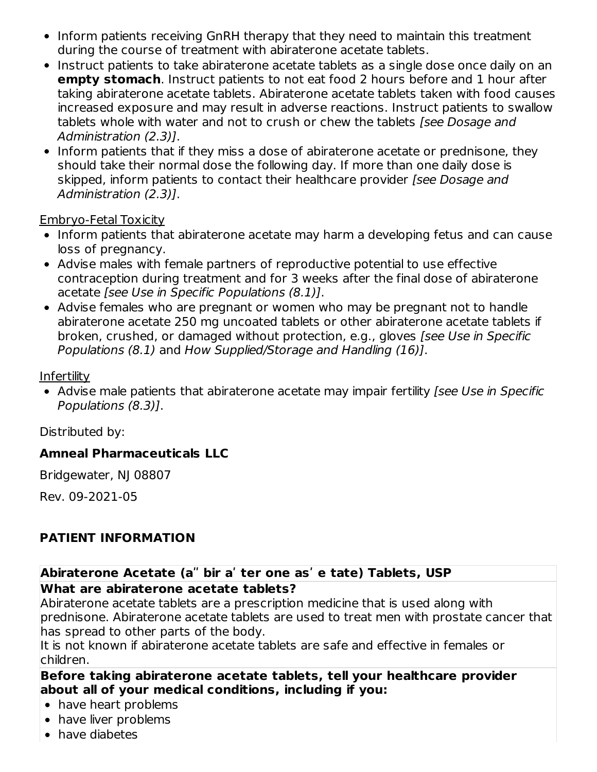- Inform patients receiving GnRH therapy that they need to maintain this treatment during the course of treatment with abiraterone acetate tablets.
- Instruct patients to take abiraterone acetate tablets as a single dose once daily on an **empty stomach**. Instruct patients to not eat food 2 hours before and 1 hour after taking abiraterone acetate tablets. Abiraterone acetate tablets taken with food causes increased exposure and may result in adverse reactions. Instruct patients to swallow tablets whole with water and not to crush or chew the tablets [see Dosage and Administration (2.3)].
- Inform patients that if they miss a dose of abiraterone acetate or prednisone, they should take their normal dose the following day. If more than one daily dose is skipped, inform patients to contact their healthcare provider [see Dosage and Administration (2.3)].

Embryo-Fetal Toxicity

- Inform patients that abiraterone acetate may harm a developing fetus and can cause loss of pregnancy.
- Advise males with female partners of reproductive potential to use effective contraception during treatment and for 3 weeks after the final dose of abiraterone acetate [see Use in Specific Populations (8.1)].
- Advise females who are pregnant or women who may be pregnant not to handle abiraterone acetate 250 mg uncoated tablets or other abiraterone acetate tablets if broken, crushed, or damaged without protection, e.g., gloves [see Use in Specific Populations (8.1) and How Supplied/Storage and Handling (16)].

**Infertility** 

• Advise male patients that abiraterone acetate may impair fertility *[see Use in Specific* Populations (8.3)].

Distributed by:

# **Amneal Pharmaceuticals LLC**

Bridgewater, NJ 08807

Rev. 09-2021-05

# **PATIENT INFORMATION**

#### **Abiraterone Acetate (aʺ bir aʹ ter one asʹ e tate) Tablets, USP What are abiraterone acetate tablets?**

Abiraterone acetate tablets are a prescription medicine that is used along with prednisone. Abiraterone acetate tablets are used to treat men with prostate cancer that has spread to other parts of the body.

It is not known if abiraterone acetate tablets are safe and effective in females or children.

#### **Before taking abiraterone acetate tablets, tell your healthcare provider about all of your medical conditions, including if you:**

- have heart problems
- have liver problems
- have diabetes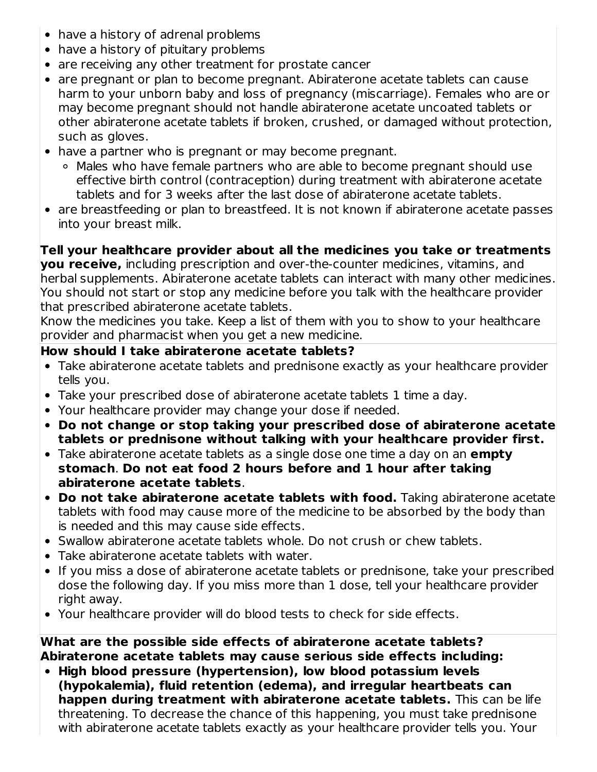- have a history of adrenal problems
- have a history of pituitary problems
- are receiving any other treatment for prostate cancer
- are pregnant or plan to become pregnant. Abiraterone acetate tablets can cause harm to your unborn baby and loss of pregnancy (miscarriage). Females who are or may become pregnant should not handle abiraterone acetate uncoated tablets or other abiraterone acetate tablets if broken, crushed, or damaged without protection, such as gloves.
- have a partner who is pregnant or may become pregnant.
	- Males who have female partners who are able to become pregnant should use effective birth control (contraception) during treatment with abiraterone acetate tablets and for 3 weeks after the last dose of abiraterone acetate tablets.
- are breastfeeding or plan to breastfeed. It is not known if abiraterone acetate passes into your breast milk.

**Tell your healthcare provider about all the medicines you take or treatments you receive,** including prescription and over-the-counter medicines, vitamins, and herbal supplements. Abiraterone acetate tablets can interact with many other medicines. You should not start or stop any medicine before you talk with the healthcare provider that prescribed abiraterone acetate tablets.

Know the medicines you take. Keep a list of them with you to show to your healthcare provider and pharmacist when you get a new medicine.

# **How should I take abiraterone acetate tablets?**

- Take abiraterone acetate tablets and prednisone exactly as your healthcare provider tells you.
- Take your prescribed dose of abiraterone acetate tablets 1 time a day.
- Your healthcare provider may change your dose if needed.
- **Do not change or stop taking your prescribed dose of abiraterone acetate tablets or prednisone without talking with your healthcare provider first.**
- Take abiraterone acetate tablets as a single dose one time a day on an **empty stomach**. **Do not eat food 2 hours before and 1 hour after taking abiraterone acetate tablets**.
- **Do not take abiraterone acetate tablets with food.** Taking abiraterone acetate tablets with food may cause more of the medicine to be absorbed by the body than is needed and this may cause side effects.
- Swallow abiraterone acetate tablets whole. Do not crush or chew tablets.
- Take abiraterone acetate tablets with water.
- If you miss a dose of abiraterone acetate tablets or prednisone, take your prescribed dose the following day. If you miss more than 1 dose, tell your healthcare provider right away.
- Your healthcare provider will do blood tests to check for side effects.

**What are the possible side effects of abiraterone acetate tablets? Abiraterone acetate tablets may cause serious side effects including:**

**High blood pressure (hypertension), low blood potassium levels (hypokalemia), fluid retention (edema), and irregular heartbeats can happen during treatment with abiraterone acetate tablets.** This can be life threatening. To decrease the chance of this happening, you must take prednisone with abiraterone acetate tablets exactly as your healthcare provider tells you. Your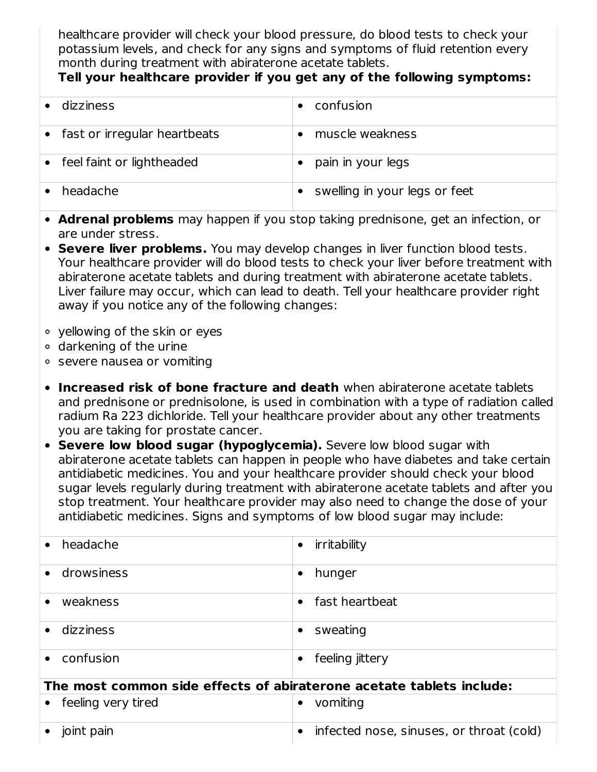healthcare provider will check your blood pressure, do blood tests to check your potassium levels, and check for any signs and symptoms of fluid retention every month during treatment with abiraterone acetate tablets.

# **Tell your healthcare provider if you get any of the following symptoms:**

| dizziness                    | confusion                     |
|------------------------------|-------------------------------|
| fast or irregular heartbeats | muscle weakness               |
| feel faint or lightheaded    | pain in your legs             |
| headache                     | swelling in your legs or feet |

- **Adrenal problems** may happen if you stop taking prednisone, get an infection, or are under stress.
- **Severe liver problems.** You may develop changes in liver function blood tests. Your healthcare provider will do blood tests to check your liver before treatment with abiraterone acetate tablets and during treatment with abiraterone acetate tablets. Liver failure may occur, which can lead to death. Tell your healthcare provider right away if you notice any of the following changes:
- yellowing of the skin or eyes
- darkening of the urine
- severe nausea or vomiting
- **Increased risk of bone fracture and death** when abiraterone acetate tablets and prednisone or prednisolone, is used in combination with a type of radiation called radium Ra 223 dichloride. Tell your healthcare provider about any other treatments you are taking for prostate cancer.
- **Severe low blood sugar (hypoglycemia).** Severe low blood sugar with abiraterone acetate tablets can happen in people who have diabetes and take certain antidiabetic medicines. You and your healthcare provider should check your blood sugar levels regularly during treatment with abiraterone acetate tablets and after you stop treatment. Your healthcare provider may also need to change the dose of your antidiabetic medicines. Signs and symptoms of low blood sugar may include:

| headache                                                             | irritability<br>$\bullet$                     |
|----------------------------------------------------------------------|-----------------------------------------------|
| drowsiness                                                           | hunger<br>٠                                   |
| weakness                                                             | fast heartbeat<br>$\bullet$                   |
| dizziness                                                            | sweating<br>$\bullet$                         |
| confusion                                                            | feeling jittery<br>٠                          |
| The most common side effects of abiraterone acetate tablets include: |                                               |
| feeling very tired                                                   | vomiting<br>٠                                 |
| joint pain                                                           | infected nose, sinuses, or throat (cold)<br>٠ |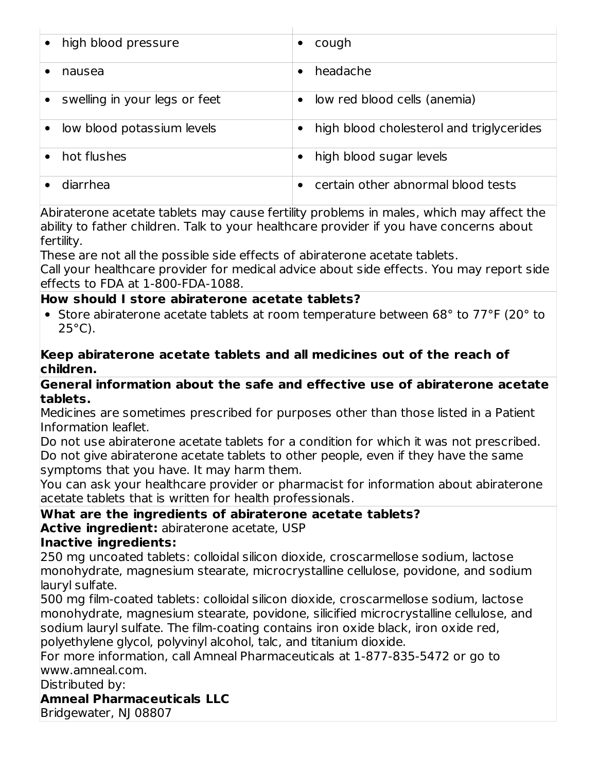| high blood pressure           | cough                                           |
|-------------------------------|-------------------------------------------------|
| nausea                        | headache<br>٠                                   |
| swelling in your legs or feet | low red blood cells (anemia)<br>$\bullet$       |
| low blood potassium levels    | high blood cholesterol and triglycerides<br>٠   |
| hot flushes                   | high blood sugar levels                         |
| diarrhea                      | certain other abnormal blood tests<br>$\bullet$ |

Abiraterone acetate tablets may cause fertility problems in males, which may affect the ability to father children. Talk to your healthcare provider if you have concerns about fertility.

These are not all the possible side effects of abiraterone acetate tablets.

Call your healthcare provider for medical advice about side effects. You may report side effects to FDA at 1-800-FDA-1088.

#### **How should I store abiraterone acetate tablets?**

• Store abiraterone acetate tablets at room temperature between 68° to 77°F (20° to  $25^{\circ}$ C).

#### **Keep abiraterone acetate tablets and all medicines out of the reach of children.**

#### **General information about the safe and effective use of abiraterone acetate tablets.**

Medicines are sometimes prescribed for purposes other than those listed in a Patient Information leaflet.

Do not use abiraterone acetate tablets for a condition for which it was not prescribed. Do not give abiraterone acetate tablets to other people, even if they have the same symptoms that you have. It may harm them.

You can ask your healthcare provider or pharmacist for information about abiraterone acetate tablets that is written for health professionals.

# **What are the ingredients of abiraterone acetate tablets?**

**Active ingredient:** abiraterone acetate, USP

#### **Inactive ingredients:**

250 mg uncoated tablets: colloidal silicon dioxide, croscarmellose sodium, lactose monohydrate, magnesium stearate, microcrystalline cellulose, povidone, and sodium lauryl sulfate.

500 mg film-coated tablets: colloidal silicon dioxide, croscarmellose sodium, lactose monohydrate, magnesium stearate, povidone, silicified microcrystalline cellulose, and sodium lauryl sulfate. The film-coating contains iron oxide black, iron oxide red, polyethylene glycol, polyvinyl alcohol, talc, and titanium dioxide.

For more information, call Amneal Pharmaceuticals at 1-877-835-5472 or go to www.amneal.com.

Distributed by:

**Amneal Pharmaceuticals LLC**

Bridgewater, NJ 08807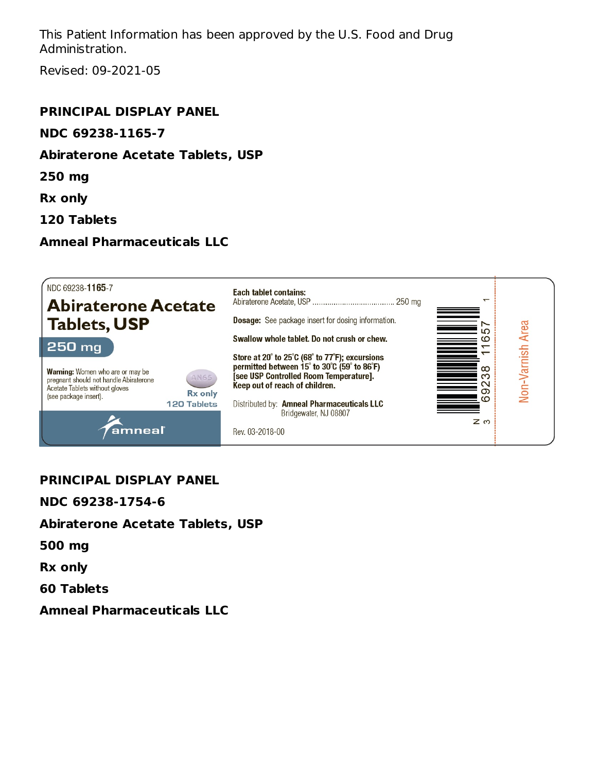This Patient Information has been approved by the U.S. Food and Drug Administration.

Revised: 09-2021-05

#### **PRINCIPAL DISPLAY PANEL**

#### **NDC 69238-1165-7**

#### **Abiraterone Acetate Tablets, USP**

**250 mg**

**Rx only**

**120 Tablets**

#### **Amneal Pharmaceuticals LLC**



#### **PRINCIPAL DISPLAY PANEL**

**NDC 69238-1754-6**

#### **Abiraterone Acetate Tablets, USP**

**500 mg**

**Rx only**

**60 Tablets**

**Amneal Pharmaceuticals LLC**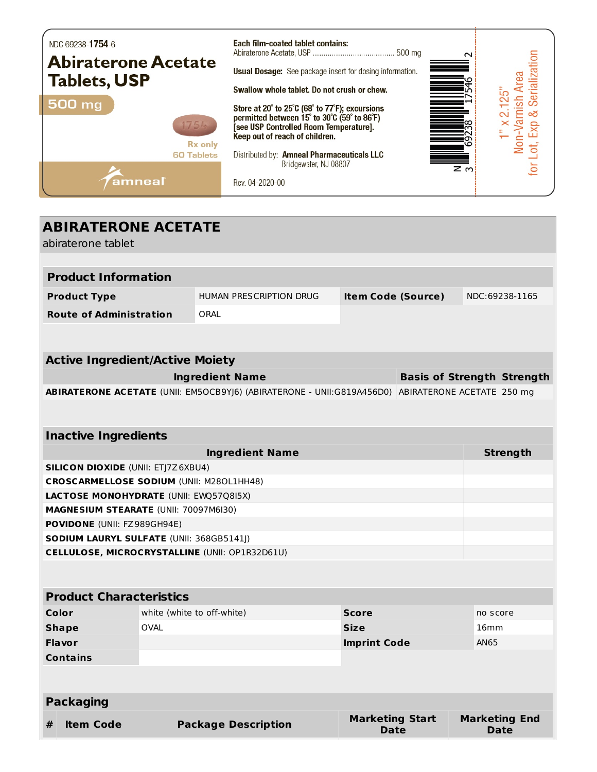

| <b>ABIRATERONE ACETATE</b>                         |                                                 |                            |                                                                                                   |                                       |                                   |          |                                     |
|----------------------------------------------------|-------------------------------------------------|----------------------------|---------------------------------------------------------------------------------------------------|---------------------------------------|-----------------------------------|----------|-------------------------------------|
|                                                    | abiraterone tablet                              |                            |                                                                                                   |                                       |                                   |          |                                     |
|                                                    |                                                 |                            |                                                                                                   |                                       |                                   |          |                                     |
|                                                    | <b>Product Information</b>                      |                            |                                                                                                   |                                       |                                   |          |                                     |
|                                                    | <b>Product Type</b>                             |                            | <b>HUMAN PRESCRIPTION DRUG</b>                                                                    | <b>Item Code (Source)</b>             |                                   |          | NDC:69238-1165                      |
|                                                    | <b>Route of Administration</b>                  |                            | ORAL                                                                                              |                                       |                                   |          |                                     |
|                                                    |                                                 |                            |                                                                                                   |                                       |                                   |          |                                     |
|                                                    | <b>Active Ingredient/Active Moiety</b>          |                            |                                                                                                   |                                       |                                   |          |                                     |
|                                                    |                                                 |                            | <b>Ingredient Name</b>                                                                            |                                       | <b>Basis of Strength Strength</b> |          |                                     |
|                                                    |                                                 |                            | ABIRATERONE ACETATE (UNII: EM5OCB9YJ6) (ABIRATERONE - UNII:G819A456D0) ABIRATERONE ACETATE 250 mg |                                       |                                   |          |                                     |
|                                                    |                                                 |                            |                                                                                                   |                                       |                                   |          |                                     |
|                                                    |                                                 |                            |                                                                                                   |                                       |                                   |          |                                     |
|                                                    | <b>Inactive Ingredients</b>                     |                            |                                                                                                   |                                       |                                   |          |                                     |
|                                                    |                                                 |                            | <b>Ingredient Name</b>                                                                            |                                       |                                   |          | <b>Strength</b>                     |
|                                                    | <b>SILICON DIOXIDE (UNII: ETJ7Z6XBU4)</b>       |                            |                                                                                                   |                                       |                                   |          |                                     |
|                                                    | <b>CROSCARMELLOSE SODIUM (UNII: M280L1HH48)</b> |                            |                                                                                                   |                                       |                                   |          |                                     |
|                                                    | LACTOSE MONOHYDRATE (UNII: EWQ57Q8I5X)          |                            |                                                                                                   |                                       |                                   |          |                                     |
|                                                    | MAGNESIUM STEARATE (UNII: 70097M6I30)           |                            |                                                                                                   |                                       |                                   |          |                                     |
|                                                    | POVIDONE (UNII: FZ989GH94E)                     |                            |                                                                                                   |                                       |                                   |          |                                     |
|                                                    | SODIUM LAURYL SULFATE (UNII: 368GB5141J)        |                            |                                                                                                   |                                       |                                   |          |                                     |
|                                                    |                                                 |                            | CELLULOSE, MICROCRYSTALLINE (UNII: OP1R32D61U)                                                    |                                       |                                   |          |                                     |
|                                                    |                                                 |                            |                                                                                                   |                                       |                                   |          |                                     |
|                                                    |                                                 |                            |                                                                                                   |                                       |                                   |          |                                     |
|                                                    | <b>Product Characteristics</b>                  |                            |                                                                                                   |                                       |                                   |          |                                     |
|                                                    | Color                                           | white (white to off-white) |                                                                                                   | <b>Score</b>                          |                                   | no score |                                     |
| <b>OVAL</b><br><b>Size</b><br><b>Shape</b><br>16mm |                                                 |                            |                                                                                                   |                                       |                                   |          |                                     |
|                                                    | <b>Flavor</b><br>AN65<br><b>Imprint Code</b>    |                            |                                                                                                   |                                       |                                   |          |                                     |
|                                                    | <b>Contains</b>                                 |                            |                                                                                                   |                                       |                                   |          |                                     |
|                                                    |                                                 |                            |                                                                                                   |                                       |                                   |          |                                     |
|                                                    | <b>Packaging</b>                                |                            |                                                                                                   |                                       |                                   |          |                                     |
| #                                                  | <b>Item Code</b>                                |                            | <b>Package Description</b>                                                                        | <b>Marketing Start</b><br><b>Date</b> |                                   |          | <b>Marketing End</b><br><b>Date</b> |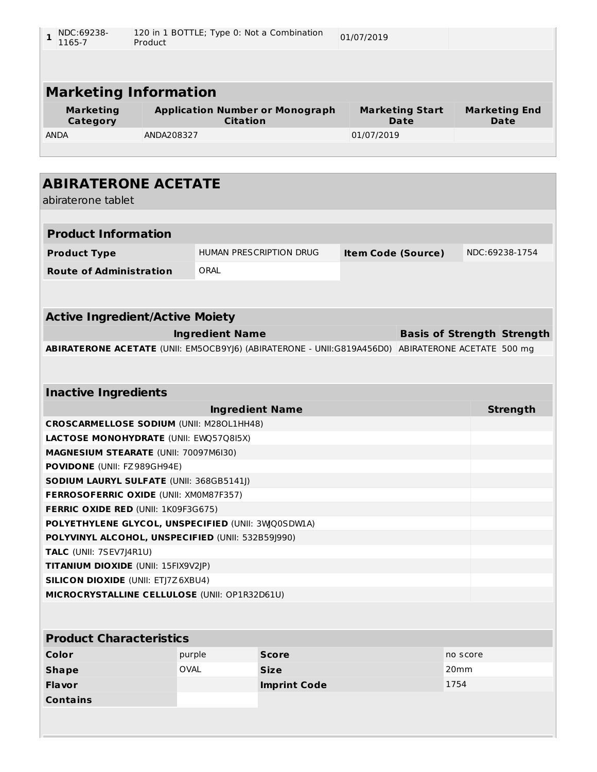| NDC:69238-<br>1165-7 | 120 in 1 BOTTLE; Type 0: Not a Combination<br>01/07/2019<br>Product |                        |                      |
|----------------------|---------------------------------------------------------------------|------------------------|----------------------|
|                      |                                                                     |                        |                      |
|                      | <b>Marketing Information</b>                                        |                        |                      |
| <b>Marketing</b>     | <b>Application Number or Monograph</b>                              | <b>Marketing Start</b> | <b>Marketing End</b> |
| Category             | <b>Citation</b>                                                     | Date                   | Date                 |
| <b>ANDA</b>          | ANDA208327                                                          | 01/07/2019             |                      |
|                      |                                                                     |                        |                      |

| <b>ABIRATERONE ACETATE</b><br>abiraterone tablet                                                  |                                |                           |                                   |  |                 |
|---------------------------------------------------------------------------------------------------|--------------------------------|---------------------------|-----------------------------------|--|-----------------|
|                                                                                                   |                                |                           |                                   |  |                 |
| <b>Product Information</b>                                                                        |                                |                           |                                   |  |                 |
| <b>Product Type</b>                                                                               | <b>HUMAN PRESCRIPTION DRUG</b> | <b>Item Code (Source)</b> |                                   |  | NDC:69238-1754  |
| <b>Route of Administration</b>                                                                    | ORAI                           |                           |                                   |  |                 |
|                                                                                                   |                                |                           |                                   |  |                 |
|                                                                                                   |                                |                           |                                   |  |                 |
| <b>Active Ingredient/Active Moiety</b>                                                            |                                |                           |                                   |  |                 |
|                                                                                                   | <b>Ingredient Name</b>         |                           | <b>Basis of Strength Strength</b> |  |                 |
| ABIRATERONE ACETATE (UNII: EM5OCB9YJ6) (ABIRATERONE - UNII:G819A456D0) ABIRATERONE ACETATE 500 mg |                                |                           |                                   |  |                 |
|                                                                                                   |                                |                           |                                   |  |                 |
|                                                                                                   |                                |                           |                                   |  |                 |
| <b>Inactive Ingredients</b>                                                                       |                                |                           |                                   |  |                 |
|                                                                                                   | <b>Ingredient Name</b>         |                           |                                   |  | <b>Strength</b> |
| <b>CROSCARMELLOSE SODIUM (UNII: M280L1HH48)</b>                                                   |                                |                           |                                   |  |                 |
| LACTOSE MONOHYDRATE (UNII: EWQ57Q8I5X)                                                            |                                |                           |                                   |  |                 |
| MAGNESIUM STEARATE (UNII: 70097M6I30)                                                             |                                |                           |                                   |  |                 |
| POVIDONE (UNII: FZ989GH94E)                                                                       |                                |                           |                                   |  |                 |
| <b>SODIUM LAURYL SULFATE (UNII: 368GB5141J)</b>                                                   |                                |                           |                                   |  |                 |
| FERROSOFERRIC OXIDE (UNII: XM0M87F357)                                                            |                                |                           |                                   |  |                 |
| <b>FERRIC OXIDE RED (UNII: 1K09F3G675)</b>                                                        |                                |                           |                                   |  |                 |
| POLYETHYLENE GLYCOL, UNSPECIFIED (UNII: 3WQ0SDWLA)                                                |                                |                           |                                   |  |                 |
| POLYVINYL ALCOHOL, UNSPECIFIED (UNII: 532B59J990)                                                 |                                |                           |                                   |  |                 |
| TALC (UNII: 7SEV7J4R1U)                                                                           |                                |                           |                                   |  |                 |
| TITANIUM DIOXIDE (UNII: 15FIX9V2JP)                                                               |                                |                           |                                   |  |                 |
| <b>SILICON DIOXIDE (UNII: ETJ7Z6XBU4)</b>                                                         |                                |                           |                                   |  |                 |
| MICROCRYSTALLINE CELLULOSE (UNII: OP1R32D61U)                                                     |                                |                           |                                   |  |                 |
|                                                                                                   |                                |                           |                                   |  |                 |
| Duaduat Chave stavistic                                                                           |                                |                           |                                   |  |                 |

| <b>Product Characteristics</b> |             |                     |                  |  |  |
|--------------------------------|-------------|---------------------|------------------|--|--|
| Color                          | purple      | <b>Score</b>        | no score         |  |  |
| <b>Shape</b>                   | <b>OVAL</b> | <b>Size</b>         | 20 <sub>mm</sub> |  |  |
| <b>Flavor</b>                  |             | <b>Imprint Code</b> | 1754             |  |  |
| <b>Contains</b>                |             |                     |                  |  |  |